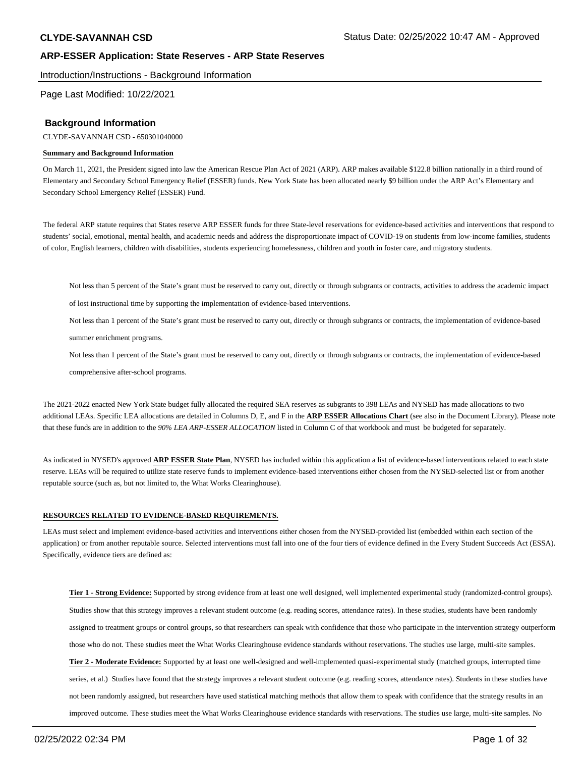Introduction/Instructions - Background Information

Page Last Modified: 10/22/2021

### **Background Information**

CLYDE-SAVANNAH CSD - 650301040000

#### **Summary and Background Information**

On March 11, 2021, the President signed into law the American Rescue Plan Act of 2021 (ARP). ARP makes available \$122.8 billion nationally in a third round of Elementary and Secondary School Emergency Relief (ESSER) funds. New York State has been allocated nearly \$9 billion under the ARP Act's Elementary and Secondary School Emergency Relief (ESSER) Fund.

The federal ARP statute requires that States reserve ARP ESSER funds for three State-level reservations for evidence-based activities and interventions that respond to students' social, emotional, mental health, and academic needs and address the disproportionate impact of COVID-19 on students from low-income families, students of color, English learners, children with disabilities, students experiencing homelessness, children and youth in foster care, and migratory students.

Not less than 5 percent of the State's grant must be reserved to carry out, directly or through subgrants or contracts, activities to address the academic impact

of lost instructional time by supporting the implementation of evidence-based interventions.

Not less than 1 percent of the State's grant must be reserved to carry out, directly or through subgrants or contracts, the implementation of evidence-based

summer enrichment programs.

Not less than 1 percent of the State's grant must be reserved to carry out, directly or through subgrants or contracts, the implementation of evidence-based

comprehensive after-school programs.

The 2021-2022 enacted New York State budget fully allocated the required SEA reserves as subgrants to 398 LEAs and NYSED has made allocations to two additional LEAs. Specific LEA allocations are detailed in Columns D, E, and F in the **ARP ESSER Allocations Chart** (see also in the Document Library). Please note that these funds are in addition to the *90% LEA ARP-ESSER ALLOCATION* listed in Column C of that workbook and must be budgeted for separately.

As indicated in NYSED's approved **ARP ESSER State Plan**, NYSED has included within this application a list of evidence-based interventions related to each state reserve. LEAs will be required to utilize state reserve funds to implement evidence-based interventions either chosen from the NYSED-selected list or from another reputable source (such as, but not limited to, the What Works Clearinghouse).

#### **RESOURCES RELATED TO EVIDENCE-BASED REQUIREMENTS.**

LEAs must select and implement evidence-based activities and interventions either chosen from the NYSED-provided list (embedded within each section of the application) or from another reputable source. Selected interventions must fall into one of the four tiers of evidence defined in the Every Student Succeeds Act (ESSA). Specifically, evidence tiers are defined as:

**Tier 1 - Strong Evidence:** Supported by strong evidence from at least one well designed, well implemented experimental study (randomized-control groups). Studies show that this strategy improves a relevant student outcome (e.g. reading scores, attendance rates). In these studies, students have been randomly assigned to treatment groups or control groups, so that researchers can speak with confidence that those who participate in the intervention strategy outperform those who do not. These studies meet the What Works Clearinghouse evidence standards without reservations. The studies use large, multi-site samples. **Tier 2 - Moderate Evidence:** Supported by at least one well-designed and well-implemented quasi-experimental study (matched groups, interrupted time series, et al.) Studies have found that the strategy improves a relevant student outcome (e.g. reading scores, attendance rates). Students in these studies have not been randomly assigned, but researchers have used statistical matching methods that allow them to speak with confidence that the strategy results in an improved outcome. These studies meet the What Works Clearinghouse evidence standards with reservations. The studies use large, multi-site samples. No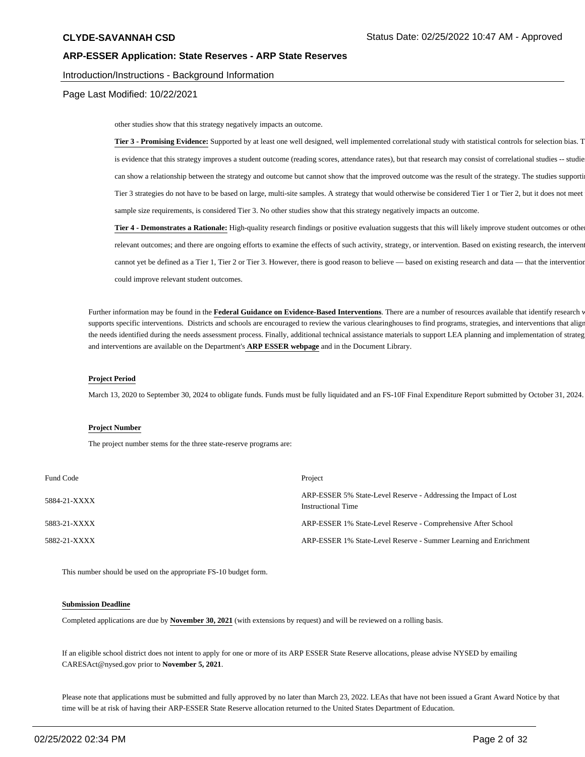#### Introduction/Instructions - Background Information

Page Last Modified: 10/22/2021

other studies show that this strategy negatively impacts an outcome.

Tier 3 - Promising Evidence: Supported by at least one well designed, well implemented correlational study with statistical controls for selection bias. T is evidence that this strategy improves a student outcome (reading scores, attendance rates), but that research may consist of correlational studies -- studie can show a relationship between the strategy and outcome but cannot show that the improved outcome was the result of the strategy. The studies supporti Tier 3 strategies do not have to be based on large, multi-site samples. A strategy that would otherwise be considered Tier 1 or Tier 2, but it does not meet sample size requirements, is considered Tier 3. No other studies show that this strategy negatively impacts an outcome.

**Tier 4 - Demonstrates a Rationale:** High-quality research findings or positive evaluation suggests that this will likely improve student outcomes or other relevant outcomes; and there are ongoing efforts to examine the effects of such activity, strategy, or intervention. Based on existing research, the intervent cannot yet be defined as a Tier 1, Tier 2 or Tier 3. However, there is good reason to believe — based on existing research and data — that the intervention could improve relevant student outcomes.

Further information may be found in the Federal Guidance on Evidence-Based Interventions. There are a number of resources available that identify research v supports specific interventions. Districts and schools are encouraged to review the various clearinghouses to find programs, strategies, and interventions that align the needs identified during the needs assessment process. Finally, additional technical assistance materials to support LEA planning and implementation of strateg and interventions are available on the Department's **ARP ESSER webpage** and in the Document Library.

#### **Project Period**

March 13, 2020 to September 30, 2024 to obligate funds. Funds must be fully liquidated and an FS-10F Final Expenditure Report submitted by October 31, 2024.

#### **Project Number**

The project number stems for the three state-reserve programs are:

| Fund Code    | Project                                                                                       |
|--------------|-----------------------------------------------------------------------------------------------|
| 5884-21-XXXX | ARP-ESSER 5% State-Level Reserve - Addressing the Impact of Lost<br><b>Instructional Time</b> |
| 5883-21-XXXX | ARP-ESSER 1% State-Level Reserve - Comprehensive After School                                 |
| 5882-21-XXXX | ARP-ESSER 1% State-Level Reserve - Summer Learning and Enrichment                             |

This number should be used on the appropriate FS-10 budget form.

#### **Submission Deadline**

Completed applications are due by **November 30, 2021** (with extensions by request) and will be reviewed on a rolling basis.

If an eligible school district does not intent to apply for one or more of its ARP ESSER State Reserve allocations, please advise NYSED by emailing CARESAct@nysed.gov prior to **November 5, 2021**.

Please note that applications must be submitted and fully approved by no later than March 23, 2022. LEAs that have not been issued a Grant Award Notice by that time will be at risk of having their ARP-ESSER State Reserve allocation returned to the United States Department of Education.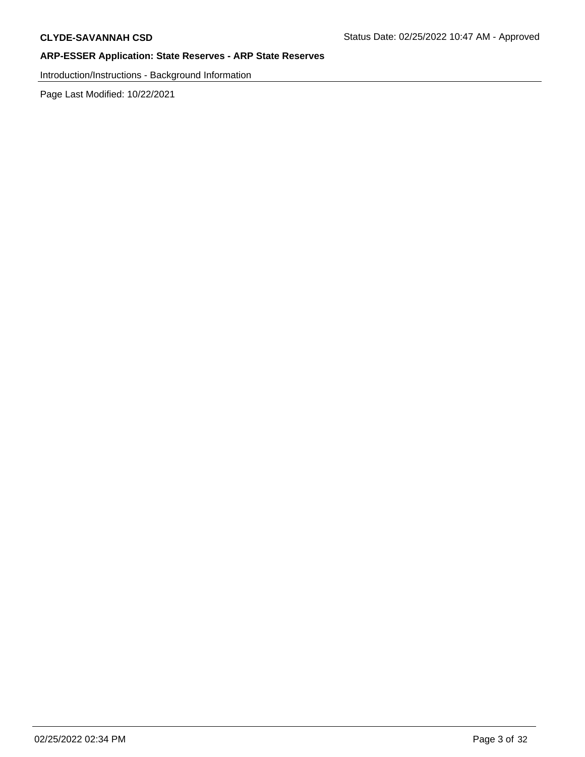Introduction/Instructions - Background Information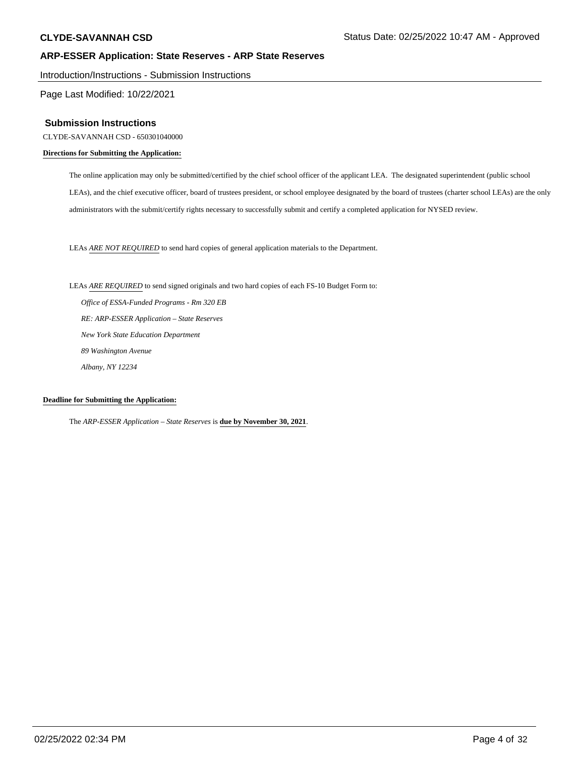Introduction/Instructions - Submission Instructions

Page Last Modified: 10/22/2021

### **Submission Instructions**

CLYDE-SAVANNAH CSD - 650301040000

#### **Directions for Submitting the Application:**

The online application may only be submitted/certified by the chief school officer of the applicant LEA. The designated superintendent (public school LEAs), and the chief executive officer, board of trustees president, or school employee designated by the board of trustees (charter school LEAs) are the only administrators with the submit/certify rights necessary to successfully submit and certify a completed application for NYSED review.

LEAs *ARE NOT REQUIRED* to send hard copies of general application materials to the Department.

LEAs *ARE REQUIRED* to send signed originals and two hard copies of each FS-10 Budget Form to:

 *Office of ESSA-Funded Programs - Rm 320 EB RE: ARP-ESSER Application – State Reserves New York State Education Department 89 Washington Avenue Albany, NY 12234*

### **Deadline for Submitting the Application:**

The *ARP-ESSER Application – State Reserves* is **due by November 30, 2021**.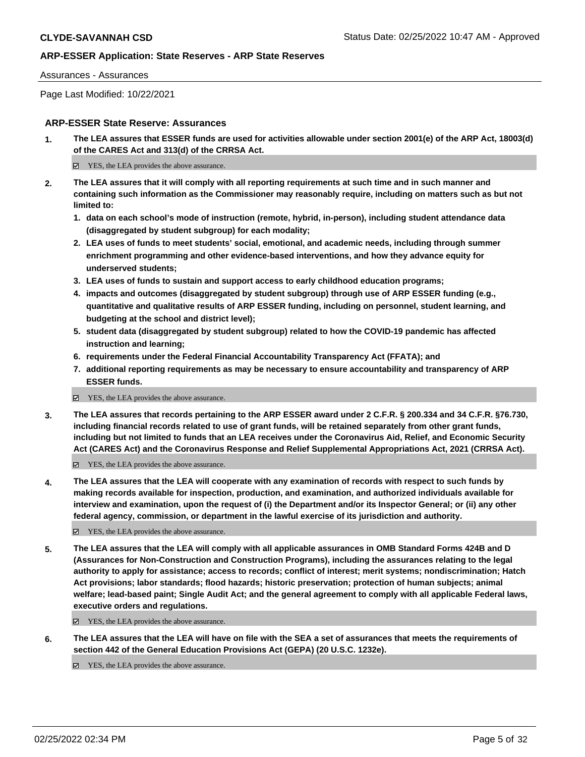#### Assurances - Assurances

Page Last Modified: 10/22/2021

### **ARP-ESSER State Reserve: Assurances**

**1. The LEA assures that ESSER funds are used for activities allowable under section 2001(e) of the ARP Act, 18003(d) of the CARES Act and 313(d) of the CRRSA Act.**

 $\Xi$  YES, the LEA provides the above assurance.

- **2. The LEA assures that it will comply with all reporting requirements at such time and in such manner and containing such information as the Commissioner may reasonably require, including on matters such as but not limited to:**
	- **1. data on each school's mode of instruction (remote, hybrid, in-person), including student attendance data (disaggregated by student subgroup) for each modality;**
	- **2. LEA uses of funds to meet students' social, emotional, and academic needs, including through summer enrichment programming and other evidence-based interventions, and how they advance equity for underserved students;**
	- **3. LEA uses of funds to sustain and support access to early childhood education programs;**
	- **4. impacts and outcomes (disaggregated by student subgroup) through use of ARP ESSER funding (e.g., quantitative and qualitative results of ARP ESSER funding, including on personnel, student learning, and budgeting at the school and district level);**
	- **5. student data (disaggregated by student subgroup) related to how the COVID-19 pandemic has affected instruction and learning;**
	- **6. requirements under the Federal Financial Accountability Transparency Act (FFATA); and**
	- **7. additional reporting requirements as may be necessary to ensure accountability and transparency of ARP ESSER funds.**
	- YES, the LEA provides the above assurance.
- **3. The LEA assures that records pertaining to the ARP ESSER award under 2 C.F.R. § 200.334 and 34 C.F.R. §76.730, including financial records related to use of grant funds, will be retained separately from other grant funds, including but not limited to funds that an LEA receives under the Coronavirus Aid, Relief, and Economic Security Act (CARES Act) and the Coronavirus Response and Relief Supplemental Appropriations Act, 2021 (CRRSA Act).**

YES, the LEA provides the above assurance.

**4. The LEA assures that the LEA will cooperate with any examination of records with respect to such funds by making records available for inspection, production, and examination, and authorized individuals available for interview and examination, upon the request of (i) the Department and/or its Inspector General; or (ii) any other federal agency, commission, or department in the lawful exercise of its jurisdiction and authority.**

YES, the LEA provides the above assurance.

**5. The LEA assures that the LEA will comply with all applicable assurances in OMB Standard Forms 424B and D (Assurances for Non-Construction and Construction Programs), including the assurances relating to the legal authority to apply for assistance; access to records; conflict of interest; merit systems; nondiscrimination; Hatch Act provisions; labor standards; flood hazards; historic preservation; protection of human subjects; animal welfare; lead-based paint; Single Audit Act; and the general agreement to comply with all applicable Federal laws, executive orders and regulations.**

■ YES, the LEA provides the above assurance.

**6. The LEA assures that the LEA will have on file with the SEA a set of assurances that meets the requirements of section 442 of the General Education Provisions Act (GEPA) (20 U.S.C. 1232e).**

 $\boxtimes$  YES, the LEA provides the above assurance.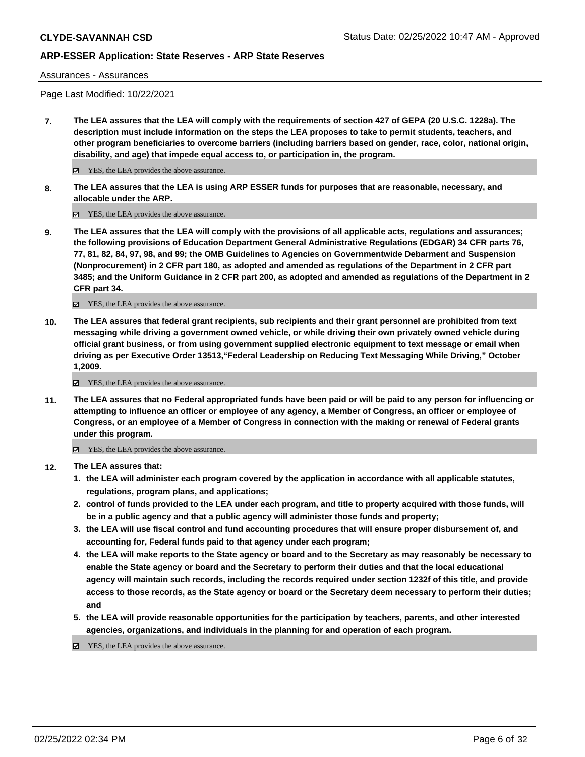Assurances - Assurances

Page Last Modified: 10/22/2021

**7. The LEA assures that the LEA will comply with the requirements of section 427 of GEPA (20 U.S.C. 1228a). The description must include information on the steps the LEA proposes to take to permit students, teachers, and other program beneficiaries to overcome barriers (including barriers based on gender, race, color, national origin, disability, and age) that impede equal access to, or participation in, the program.**

■ YES, the LEA provides the above assurance.

**8. The LEA assures that the LEA is using ARP ESSER funds for purposes that are reasonable, necessary, and allocable under the ARP.**

■ YES, the LEA provides the above assurance.

**9. The LEA assures that the LEA will comply with the provisions of all applicable acts, regulations and assurances; the following provisions of Education Department General Administrative Regulations (EDGAR) 34 CFR parts 76, 77, 81, 82, 84, 97, 98, and 99; the OMB Guidelines to Agencies on Governmentwide Debarment and Suspension (Nonprocurement) in 2 CFR part 180, as adopted and amended as regulations of the Department in 2 CFR part 3485; and the Uniform Guidance in 2 CFR part 200, as adopted and amended as regulations of the Department in 2 CFR part 34.**

YES, the LEA provides the above assurance.

**10. The LEA assures that federal grant recipients, sub recipients and their grant personnel are prohibited from text messaging while driving a government owned vehicle, or while driving their own privately owned vehicle during official grant business, or from using government supplied electronic equipment to text message or email when driving as per Executive Order 13513,"Federal Leadership on Reducing Text Messaging While Driving," October 1,2009.**

YES, the LEA provides the above assurance.

**11. The LEA assures that no Federal appropriated funds have been paid or will be paid to any person for influencing or attempting to influence an officer or employee of any agency, a Member of Congress, an officer or employee of Congress, or an employee of a Member of Congress in connection with the making or renewal of Federal grants under this program.**

YES, the LEA provides the above assurance.

- **12. The LEA assures that:**
	- **1. the LEA will administer each program covered by the application in accordance with all applicable statutes, regulations, program plans, and applications;**
	- **2. control of funds provided to the LEA under each program, and title to property acquired with those funds, will be in a public agency and that a public agency will administer those funds and property;**
	- **3. the LEA will use fiscal control and fund accounting procedures that will ensure proper disbursement of, and accounting for, Federal funds paid to that agency under each program;**
	- **4. the LEA will make reports to the State agency or board and to the Secretary as may reasonably be necessary to enable the State agency or board and the Secretary to perform their duties and that the local educational agency will maintain such records, including the records required under section 1232f of this title, and provide access to those records, as the State agency or board or the Secretary deem necessary to perform their duties; and**
	- **5. the LEA will provide reasonable opportunities for the participation by teachers, parents, and other interested agencies, organizations, and individuals in the planning for and operation of each program.**

YES, the LEA provides the above assurance.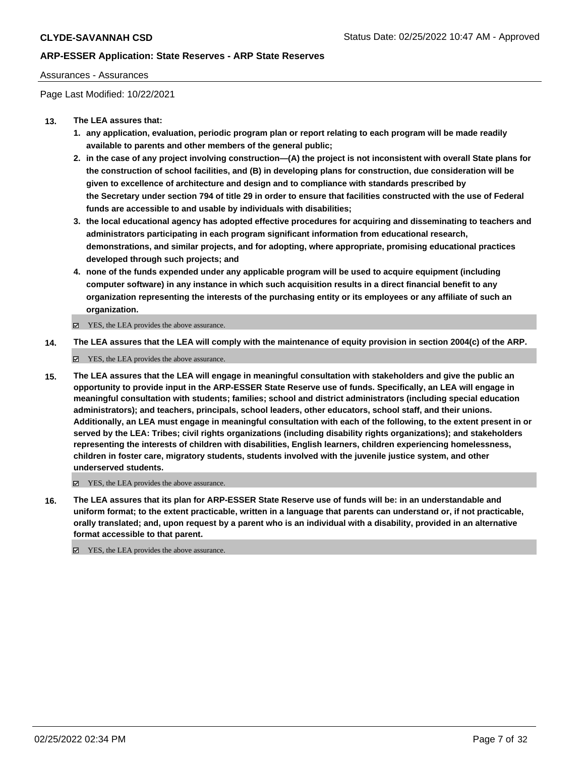### Assurances - Assurances

Page Last Modified: 10/22/2021

### **13. The LEA assures that:**

- **1. any application, evaluation, periodic program plan or report relating to each program will be made readily available to parents and other members of the general public;**
- **2. in the case of any project involving construction—(A) the project is not inconsistent with overall State plans for the construction of school facilities, and (B) in developing plans for construction, due consideration will be given to excellence of architecture and design and to compliance with standards prescribed by the Secretary under section 794 of title 29 in order to ensure that facilities constructed with the use of Federal funds are accessible to and usable by individuals with disabilities;**
- **3. the local educational agency has adopted effective procedures for acquiring and disseminating to teachers and administrators participating in each program significant information from educational research, demonstrations, and similar projects, and for adopting, where appropriate, promising educational practices developed through such projects; and**
- **4. none of the funds expended under any applicable program will be used to acquire equipment (including computer software) in any instance in which such acquisition results in a direct financial benefit to any organization representing the interests of the purchasing entity or its employees or any affiliate of such an organization.**

YES, the LEA provides the above assurance.

**14. The LEA assures that the LEA will comply with the maintenance of equity provision in section 2004(c) of the ARP.**

YES, the LEA provides the above assurance.

**15. The LEA assures that the LEA will engage in meaningful consultation with stakeholders and give the public an opportunity to provide input in the ARP-ESSER State Reserve use of funds. Specifically, an LEA will engage in meaningful consultation with students; families; school and district administrators (including special education administrators); and teachers, principals, school leaders, other educators, school staff, and their unions. Additionally, an LEA must engage in meaningful consultation with each of the following, to the extent present in or served by the LEA: Tribes; civil rights organizations (including disability rights organizations); and stakeholders representing the interests of children with disabilities, English learners, children experiencing homelessness, children in foster care, migratory students, students involved with the juvenile justice system, and other underserved students.**

YES, the LEA provides the above assurance.

**16. The LEA assures that its plan for ARP-ESSER State Reserve use of funds will be: in an understandable and uniform format; to the extent practicable, written in a language that parents can understand or, if not practicable, orally translated; and, upon request by a parent who is an individual with a disability, provided in an alternative format accessible to that parent.**

YES, the LEA provides the above assurance.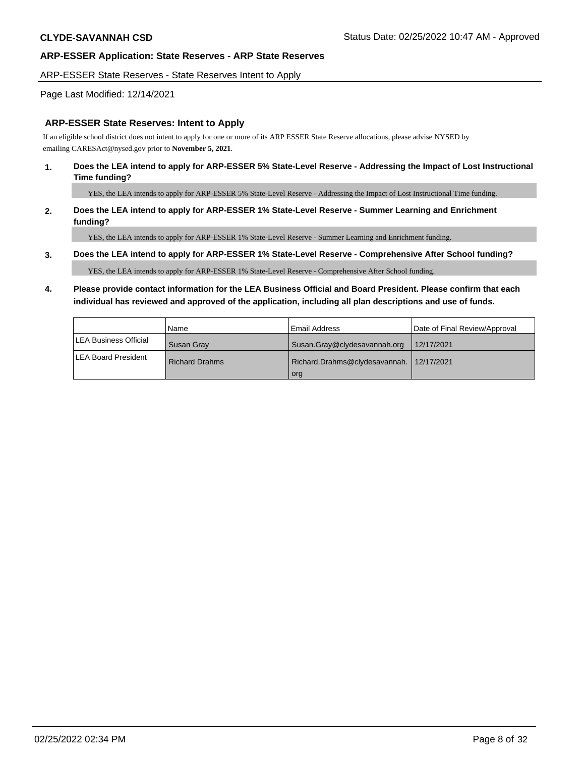#### ARP-ESSER State Reserves - State Reserves Intent to Apply

### Page Last Modified: 12/14/2021

### **ARP-ESSER State Reserves: Intent to Apply**

If an eligible school district does not intent to apply for one or more of its ARP ESSER State Reserve allocations, please advise NYSED by emailing CARESAct@nysed.gov prior to **November 5, 2021**.

### **1. Does the LEA intend to apply for ARP-ESSER 5% State-Level Reserve - Addressing the Impact of Lost Instructional Time funding?**

YES, the LEA intends to apply for ARP-ESSER 5% State-Level Reserve - Addressing the Impact of Lost Instructional Time funding.

### **2. Does the LEA intend to apply for ARP-ESSER 1% State-Level Reserve - Summer Learning and Enrichment funding?**

YES, the LEA intends to apply for ARP-ESSER 1% State-Level Reserve - Summer Learning and Enrichment funding.

#### **3. Does the LEA intend to apply for ARP-ESSER 1% State-Level Reserve - Comprehensive After School funding?**

YES, the LEA intends to apply for ARP-ESSER 1% State-Level Reserve - Comprehensive After School funding.

# **4. Please provide contact information for the LEA Business Official and Board President. Please confirm that each individual has reviewed and approved of the application, including all plan descriptions and use of funds.**

|                       | l Name            | l Email Address                                 | Date of Final Review/Approval |
|-----------------------|-------------------|-------------------------------------------------|-------------------------------|
| LEA Business Official | <b>Susan Grav</b> | Susan.Gray@clydesavannah.org                    | 12/17/2021                    |
| LEA Board President   | l Richard Drahms  | Richard.Drahms@clydesavannah. 12/17/2021<br>org |                               |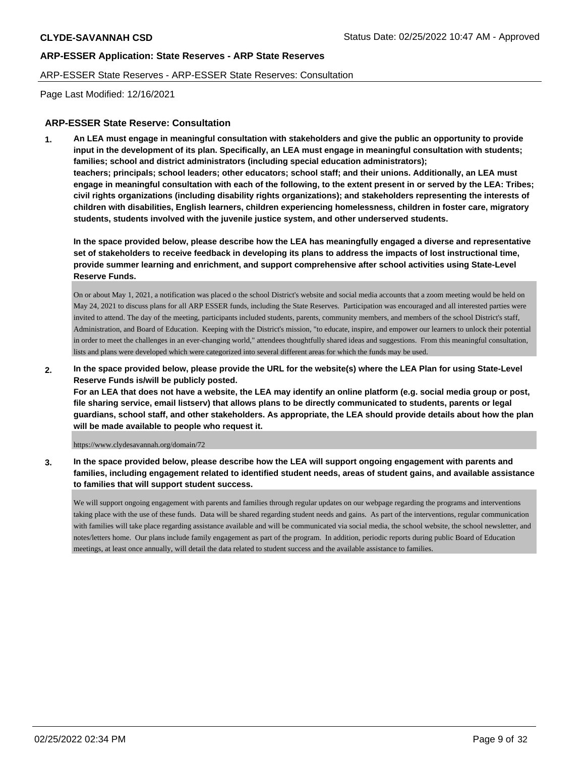#### ARP-ESSER State Reserves - ARP-ESSER State Reserves: Consultation

Page Last Modified: 12/16/2021

### **ARP-ESSER State Reserve: Consultation**

**1. An LEA must engage in meaningful consultation with stakeholders and give the public an opportunity to provide input in the development of its plan. Specifically, an LEA must engage in meaningful consultation with students; families; school and district administrators (including special education administrators); teachers; principals; school leaders; other educators; school staff; and their unions. Additionally, an LEA must engage in meaningful consultation with each of the following, to the extent present in or served by the LEA: Tribes; civil rights organizations (including disability rights organizations); and stakeholders representing the interests of children with disabilities, English learners, children experiencing homelessness, children in foster care, migratory students, students involved with the juvenile justice system, and other underserved students.**

**In the space provided below, please describe how the LEA has meaningfully engaged a diverse and representative set of stakeholders to receive feedback in developing its plans to address the impacts of lost instructional time, provide summer learning and enrichment, and support comprehensive after school activities using State-Level Reserve Funds.**

On or about May 1, 2021, a notification was placed o the school District's website and social media accounts that a zoom meeting would be held on May 24, 2021 to discuss plans for all ARP ESSER funds, including the State Reserves. Participation was encouraged and all interested parties were invited to attend. The day of the meeting, participants included students, parents, community members, and members of the school District's staff, Administration, and Board of Education. Keeping with the District's mission, "to educate, inspire, and empower our learners to unlock their potential in order to meet the challenges in an ever-changing world," attendees thoughtfully shared ideas and suggestions. From this meaningful consultation, lists and plans were developed which were categorized into several different areas for which the funds may be used.

**2. In the space provided below, please provide the URL for the website(s) where the LEA Plan for using State-Level Reserve Funds is/will be publicly posted.** 

**For an LEA that does not have a website, the LEA may identify an online platform (e.g. social media group or post, file sharing service, email listserv) that allows plans to be directly communicated to students, parents or legal guardians, school staff, and other stakeholders. As appropriate, the LEA should provide details about how the plan will be made available to people who request it.**

https://www.clydesavannah.org/domain/72

**3. In the space provided below, please describe how the LEA will support ongoing engagement with parents and families, including engagement related to identified student needs, areas of student gains, and available assistance to families that will support student success.**

We will support ongoing engagement with parents and families through regular updates on our webpage regarding the programs and interventions taking place with the use of these funds. Data will be shared regarding student needs and gains. As part of the interventions, regular communication with families will take place regarding assistance available and will be communicated via social media, the school website, the school newsletter, and notes/letters home. Our plans include family engagement as part of the program. In addition, periodic reports during public Board of Education meetings, at least once annually, will detail the data related to student success and the available assistance to families.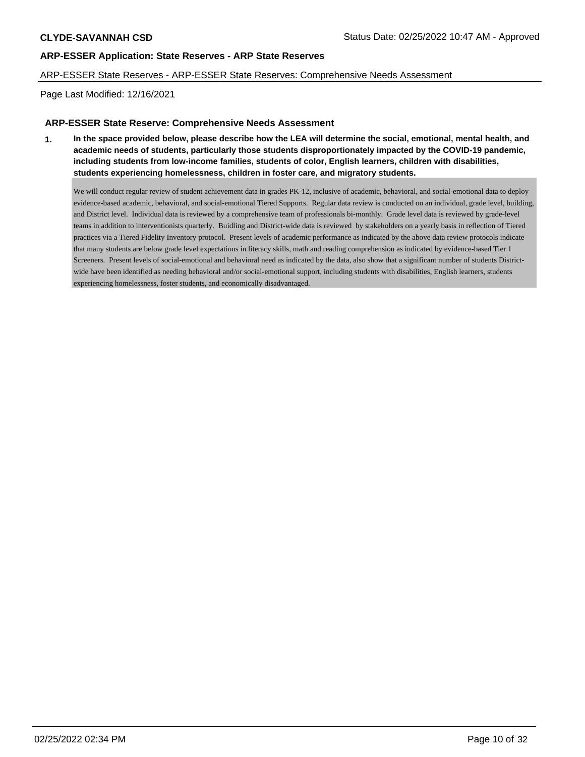### ARP-ESSER State Reserves - ARP-ESSER State Reserves: Comprehensive Needs Assessment

Page Last Modified: 12/16/2021

### **ARP-ESSER State Reserve: Comprehensive Needs Assessment**

**1. In the space provided below, please describe how the LEA will determine the social, emotional, mental health, and academic needs of students, particularly those students disproportionately impacted by the COVID-19 pandemic, including students from low-income families, students of color, English learners, children with disabilities, students experiencing homelessness, children in foster care, and migratory students.** 

We will conduct regular review of student achievement data in grades PK-12, inclusive of academic, behavioral, and social-emotional data to deploy evidence-based academic, behavioral, and social-emotional Tiered Supports. Regular data review is conducted on an individual, grade level, building, and District level. Individual data is reviewed by a comprehensive team of professionals bi-monthly. Grade level data is reviewed by grade-level teams in addition to interventionists quarterly. Buidling and District-wide data is reviewed by stakeholders on a yearly basis in reflection of Tiered practices via a Tiered Fidelity Inventory protocol. Present levels of academic performance as indicated by the above data review protocols indicate that many students are below grade level expectations in literacy skills, math and reading comprehension as indicated by evidence-based Tier 1 Screeners. Present levels of social-emotional and behavioral need as indicated by the data, also show that a significant number of students Districtwide have been identified as needing behavioral and/or social-emotional support, including students with disabilities, English learners, students experiencing homelessness, foster students, and economically disadvantaged.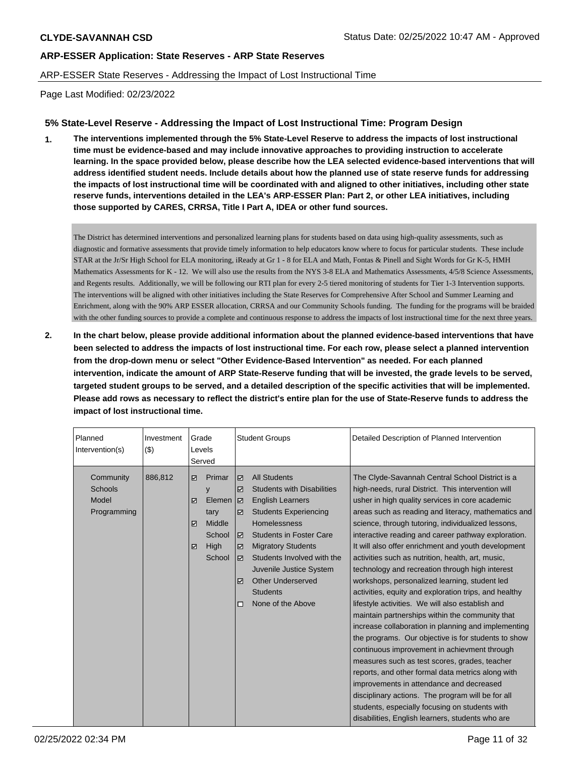# ARP-ESSER State Reserves - Addressing the Impact of Lost Instructional Time

Page Last Modified: 02/23/2022

# **5% State-Level Reserve - Addressing the Impact of Lost Instructional Time: Program Design**

**1. The interventions implemented through the 5% State-Level Reserve to address the impacts of lost instructional time must be evidence-based and may include innovative approaches to providing instruction to accelerate learning. In the space provided below, please describe how the LEA selected evidence-based interventions that will address identified student needs. Include details about how the planned use of state reserve funds for addressing the impacts of lost instructional time will be coordinated with and aligned to other initiatives, including other state reserve funds, interventions detailed in the LEA's ARP-ESSER Plan: Part 2, or other LEA initiatives, including those supported by CARES, CRRSA, Title I Part A, IDEA or other fund sources.**

The District has determined interventions and personalized learning plans for students based on data using high-quality assessments, such as diagnostic and formative assessments that provide timely information to help educators know where to focus for particular students. These include STAR at the Jr/Sr High School for ELA monitoring, iReady at Gr 1 - 8 for ELA and Math, Fontas & Pinell and Sight Words for Gr K-5, HMH Mathematics Assessments for K - 12. We will also use the results from the NYS 3-8 ELA and Mathematics Assessments, 4/5/8 Science Assessments, and Regents results. Additionally, we will be following our RTI plan for every 2-5 tiered monitoring of students for Tier 1-3 Intervention supports. The interventions will be aligned with other initiatives including the State Reserves for Comprehensive After School and Summer Learning and Enrichment, along with the 90% ARP ESSER allocation, CRRSA and our Community Schools funding. The funding for the programs will be braided with the other funding sources to provide a complete and continuous response to address the impacts of lost instructional time for the next three years.

**2. In the chart below, please provide additional information about the planned evidence-based interventions that have been selected to address the impacts of lost instructional time. For each row, please select a planned intervention from the drop-down menu or select "Other Evidence-Based Intervention" as needed. For each planned intervention, indicate the amount of ARP State-Reserve funding that will be invested, the grade levels to be served, targeted student groups to be served, and a detailed description of the specific activities that will be implemented. Please add rows as necessary to reflect the district's entire plan for the use of State-Reserve funds to address the impact of lost instructional time.**

| Planned<br>Intervention(s)                   | Investment<br>(3) |                  | Grade<br>Levels<br>Served                                           |                                                                | <b>Student Groups</b>                                                                                                                                                                                                                                                                                                                  | Detailed Description of Planned Intervention                                                                                                                                                                                                                                                                                                                                                                                                                                                                                                                                                                                                                                                                                                                                                                                                                                                                                                                                                                                                                                                                                                                                            |
|----------------------------------------------|-------------------|------------------|---------------------------------------------------------------------|----------------------------------------------------------------|----------------------------------------------------------------------------------------------------------------------------------------------------------------------------------------------------------------------------------------------------------------------------------------------------------------------------------------|-----------------------------------------------------------------------------------------------------------------------------------------------------------------------------------------------------------------------------------------------------------------------------------------------------------------------------------------------------------------------------------------------------------------------------------------------------------------------------------------------------------------------------------------------------------------------------------------------------------------------------------------------------------------------------------------------------------------------------------------------------------------------------------------------------------------------------------------------------------------------------------------------------------------------------------------------------------------------------------------------------------------------------------------------------------------------------------------------------------------------------------------------------------------------------------------|
| Community<br>Schools<br>Model<br>Programming | 886,812           | ☑<br>☑<br>☑<br>☑ | Primar<br>y<br>Elemen<br>tary<br>Middle<br>School<br>High<br>School | ⊽<br>☑<br>ا ⊠<br>☑<br>$\triangledown$<br>☑<br>☑<br>☑<br>$\Box$ | <b>All Students</b><br><b>Students with Disabilities</b><br><b>English Learners</b><br><b>Students Experiencing</b><br><b>Homelessness</b><br><b>Students in Foster Care</b><br><b>Migratory Students</b><br>Students Involved with the<br>Juvenile Justice System<br><b>Other Underserved</b><br><b>Students</b><br>None of the Above | The Clyde-Savannah Central School District is a<br>high-needs, rural District. This intervention will<br>usher in high quality services in core academic<br>areas such as reading and literacy, mathematics and<br>science, through tutoring, individualized lessons,<br>interactive reading and career pathway exploration.<br>It will also offer enrichment and youth development<br>activities such as nutrition, health, art, music,<br>technology and recreation through high interest<br>workshops, personalized learning, student led<br>activities, equity and exploration trips, and healthy<br>lifestyle activities. We will also establish and<br>maintain partnerships within the community that<br>increase collaboration in planning and implementing<br>the programs. Our objective is for students to show<br>continuous improvement in achievment through<br>measures such as test scores, grades, teacher<br>reports, and other formal data metrics along with<br>improvements in attendance and decreased<br>disciplinary actions. The program will be for all<br>students, especially focusing on students with<br>disabilities, English learners, students who are |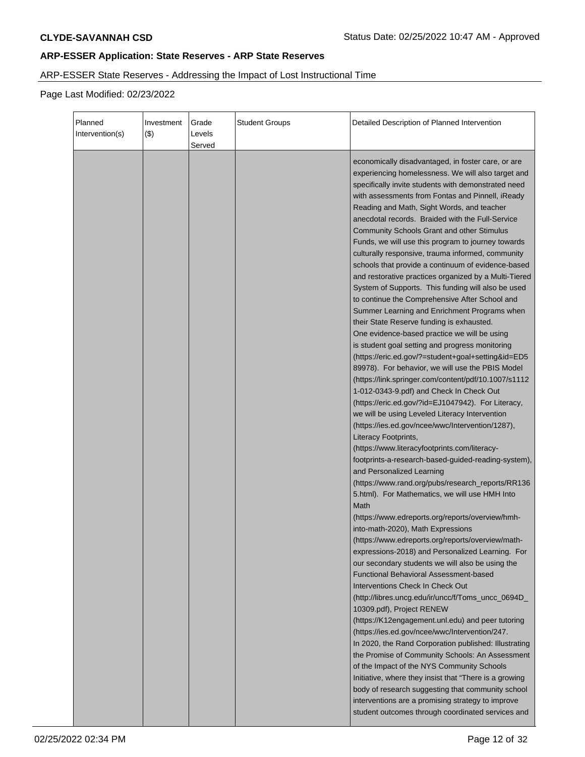# ARP-ESSER State Reserves - Addressing the Impact of Lost Instructional Time

| Planned<br>Intervention(s) | Investment<br>$($ \$) | Grade<br>Levels<br>Served | <b>Student Groups</b> | Detailed Description of Planned Intervention                                                                                                                                                                                                                                                                                                                                                                                                                                                                                                                                                                                                                                                                                                                                                                                                                                                                                                                                                                                                                                                                                                                                                                                                                                                                                                                                                                                                                                                                                                                                                                                                                                                                                                                                                                                                                                                                                                                                                                                                                                                            |
|----------------------------|-----------------------|---------------------------|-----------------------|---------------------------------------------------------------------------------------------------------------------------------------------------------------------------------------------------------------------------------------------------------------------------------------------------------------------------------------------------------------------------------------------------------------------------------------------------------------------------------------------------------------------------------------------------------------------------------------------------------------------------------------------------------------------------------------------------------------------------------------------------------------------------------------------------------------------------------------------------------------------------------------------------------------------------------------------------------------------------------------------------------------------------------------------------------------------------------------------------------------------------------------------------------------------------------------------------------------------------------------------------------------------------------------------------------------------------------------------------------------------------------------------------------------------------------------------------------------------------------------------------------------------------------------------------------------------------------------------------------------------------------------------------------------------------------------------------------------------------------------------------------------------------------------------------------------------------------------------------------------------------------------------------------------------------------------------------------------------------------------------------------------------------------------------------------------------------------------------------------|
|                            |                       |                           |                       | economically disadvantaged, in foster care, or are<br>experiencing homelessness. We will also target and<br>specifically invite students with demonstrated need<br>with assessments from Fontas and Pinnell, iReady<br>Reading and Math, Sight Words, and teacher<br>anecdotal records. Braided with the Full-Service<br><b>Community Schools Grant and other Stimulus</b><br>Funds, we will use this program to journey towards<br>culturally responsive, trauma informed, community<br>schools that provide a continuum of evidence-based<br>and restorative practices organized by a Multi-Tiered<br>System of Supports. This funding will also be used<br>to continue the Comprehensive After School and<br>Summer Learning and Enrichment Programs when<br>their State Reserve funding is exhausted.<br>One evidence-based practice we will be using<br>is student goal setting and progress monitoring<br>(https://eric.ed.gov/?=student+goal+setting&id=ED5<br>89978). For behavior, we will use the PBIS Model<br>(https://link.springer.com/content/pdf/10.1007/s1112<br>1-012-0343-9.pdf) and Check In Check Out<br>(https://eric.ed.gov/?id=EJ1047942). For Literacy,<br>we will be using Leveled Literacy Intervention<br>(https://ies.ed.gov/ncee/wwc/Intervention/1287),<br>Literacy Footprints,<br>(https://www.literacyfootprints.com/literacy-<br>footprints-a-research-based-guided-reading-system),<br>and Personalized Learning<br>(https://www.rand.org/pubs/research_reports/RR136<br>5.html). For Mathematics, we will use HMH Into<br>Math<br>(https://www.edreports.org/reports/overview/hmh-<br>into-math-2020), Math Expressions<br>(https://www.edreports.org/reports/overview/math-<br>expressions-2018) and Personalized Learning. For<br>our secondary students we will also be using the<br><b>Functional Behavioral Assessment-based</b><br>Interventions Check In Check Out<br>(http://libres.uncg.edu/ir/uncc/f/Toms_uncc_0694D_<br>10309.pdf), Project RENEW<br>(https://K12engagement.unl.edu) and peer tutoring<br>(https://ies.ed.gov/ncee/wwc/Intervention/247. |
|                            |                       |                           |                       | In 2020, the Rand Corporation published: Illustrating<br>the Promise of Community Schools: An Assessment<br>of the Impact of the NYS Community Schools<br>Initiative, where they insist that "There is a growing<br>body of research suggesting that community school<br>interventions are a promising strategy to improve<br>student outcomes through coordinated services and                                                                                                                                                                                                                                                                                                                                                                                                                                                                                                                                                                                                                                                                                                                                                                                                                                                                                                                                                                                                                                                                                                                                                                                                                                                                                                                                                                                                                                                                                                                                                                                                                                                                                                                         |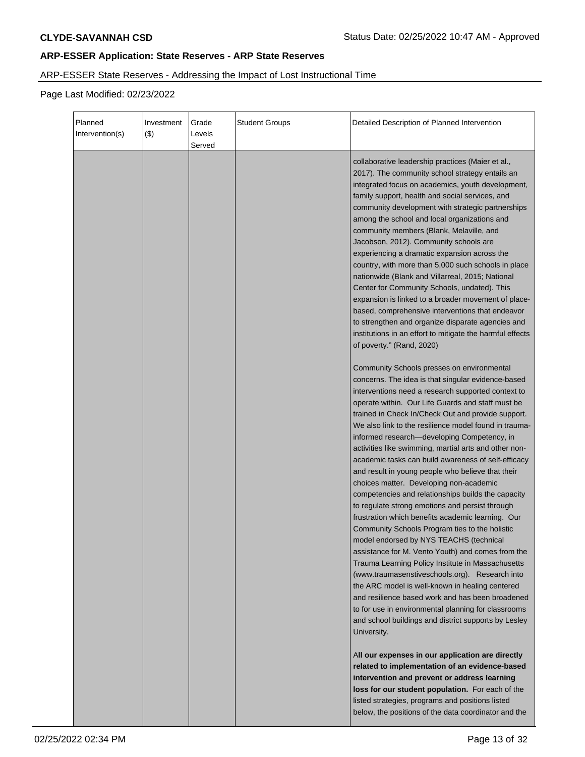# ARP-ESSER State Reserves - Addressing the Impact of Lost Instructional Time

| Planned<br>Intervention(s) | Investment<br>$($ \$) | Grade<br>Levels<br>Served | <b>Student Groups</b> | Detailed Description of Planned Intervention                                                                                                                                                                                                                                                                                                                                                                                                                                                                                                                                                                                                                                                                                                                                                                                                                                                                                                                                                                                                                                                                                                                                                                                                          |
|----------------------------|-----------------------|---------------------------|-----------------------|-------------------------------------------------------------------------------------------------------------------------------------------------------------------------------------------------------------------------------------------------------------------------------------------------------------------------------------------------------------------------------------------------------------------------------------------------------------------------------------------------------------------------------------------------------------------------------------------------------------------------------------------------------------------------------------------------------------------------------------------------------------------------------------------------------------------------------------------------------------------------------------------------------------------------------------------------------------------------------------------------------------------------------------------------------------------------------------------------------------------------------------------------------------------------------------------------------------------------------------------------------|
|                            |                       |                           |                       | collaborative leadership practices (Maier et al.,<br>2017). The community school strategy entails an<br>integrated focus on academics, youth development,<br>family support, health and social services, and<br>community development with strategic partnerships<br>among the school and local organizations and<br>community members (Blank, Melaville, and<br>Jacobson, 2012). Community schools are<br>experiencing a dramatic expansion across the<br>country, with more than 5,000 such schools in place<br>nationwide (Blank and Villarreal, 2015; National<br>Center for Community Schools, undated). This<br>expansion is linked to a broader movement of place-<br>based, comprehensive interventions that endeavor<br>to strengthen and organize disparate agencies and<br>institutions in an effort to mitigate the harmful effects<br>of poverty." (Rand, 2020)                                                                                                                                                                                                                                                                                                                                                                          |
|                            |                       |                           |                       | Community Schools presses on environmental<br>concerns. The idea is that singular evidence-based<br>interventions need a research supported context to<br>operate within. Our Life Guards and staff must be<br>trained in Check In/Check Out and provide support.<br>We also link to the resilience model found in trauma-<br>informed research-developing Competency, in<br>activities like swimming, martial arts and other non-<br>academic tasks can build awareness of self-efficacy<br>and result in young people who believe that their<br>choices matter. Developing non-academic<br>competencies and relationships builds the capacity<br>to regulate strong emotions and persist through<br>frustration which benefits academic learning. Our<br>Community Schools Program ties to the holistic<br>model endorsed by NYS TEACHS (technical<br>assistance for M. Vento Youth) and comes from the<br>Trauma Learning Policy Institute in Massachusetts<br>(www.traumasenstiveschools.org). Research into<br>the ARC model is well-known in healing centered<br>and resilience based work and has been broadened<br>to for use in environmental planning for classrooms<br>and school buildings and district supports by Lesley<br>University. |
|                            |                       |                           |                       | All our expenses in our application are directly<br>related to implementation of an evidence-based<br>intervention and prevent or address learning<br>loss for our student population. For each of the<br>listed strategies, programs and positions listed<br>below, the positions of the data coordinator and the                                                                                                                                                                                                                                                                                                                                                                                                                                                                                                                                                                                                                                                                                                                                                                                                                                                                                                                                    |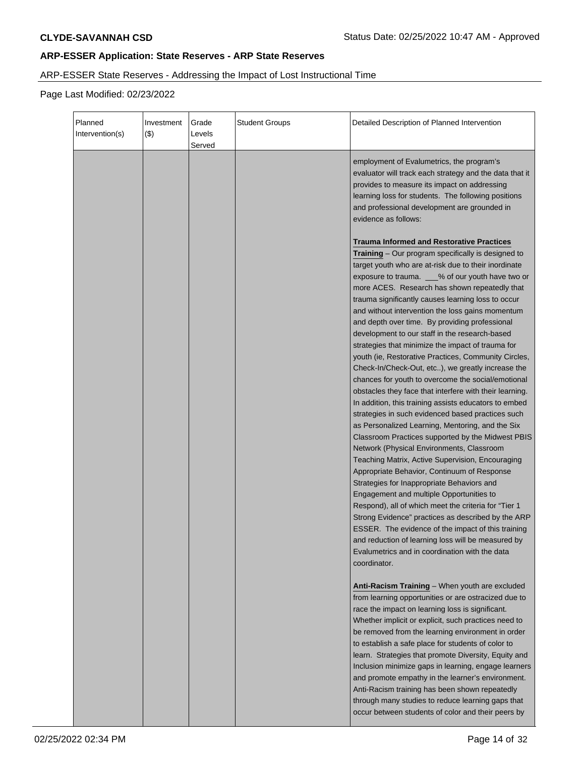# ARP-ESSER State Reserves - Addressing the Impact of Lost Instructional Time

| Planned<br>Intervention(s) | Investment<br>(3) | Grade<br>Levels<br>Served | <b>Student Groups</b> | Detailed Description of Planned Intervention                                                                                                                                                                                                                                                                                                                                                                                                                                                                                                                                                                                                                                                                                                                                                                                                                                                                                                                                                                                                                                                                                                                                                                                                                                                                                                                                                                                                                                                                                      |
|----------------------------|-------------------|---------------------------|-----------------------|-----------------------------------------------------------------------------------------------------------------------------------------------------------------------------------------------------------------------------------------------------------------------------------------------------------------------------------------------------------------------------------------------------------------------------------------------------------------------------------------------------------------------------------------------------------------------------------------------------------------------------------------------------------------------------------------------------------------------------------------------------------------------------------------------------------------------------------------------------------------------------------------------------------------------------------------------------------------------------------------------------------------------------------------------------------------------------------------------------------------------------------------------------------------------------------------------------------------------------------------------------------------------------------------------------------------------------------------------------------------------------------------------------------------------------------------------------------------------------------------------------------------------------------|
|                            |                   |                           |                       | employment of Evalumetrics, the program's<br>evaluator will track each strategy and the data that it<br>provides to measure its impact on addressing<br>learning loss for students. The following positions<br>and professional development are grounded in<br>evidence as follows:                                                                                                                                                                                                                                                                                                                                                                                                                                                                                                                                                                                                                                                                                                                                                                                                                                                                                                                                                                                                                                                                                                                                                                                                                                               |
|                            |                   |                           |                       | <b>Trauma Informed and Restorative Practices</b><br>Training - Our program specifically is designed to<br>target youth who are at-risk due to their inordinate<br>exposure to trauma. _ % of our youth have two or<br>more ACES. Research has shown repeatedly that<br>trauma significantly causes learning loss to occur<br>and without intervention the loss gains momentum<br>and depth over time. By providing professional<br>development to our staff in the research-based<br>strategies that minimize the impact of trauma for<br>youth (ie, Restorative Practices, Community Circles,<br>Check-In/Check-Out, etc), we greatly increase the<br>chances for youth to overcome the social/emotional<br>obstacles they face that interfere with their learning.<br>In addition, this training assists educators to embed<br>strategies in such evidenced based practices such<br>as Personalized Learning, Mentoring, and the Six<br>Classroom Practices supported by the Midwest PBIS<br>Network (Physical Environments, Classroom<br>Teaching Matrix, Active Supervision, Encouraging<br>Appropriate Behavior, Continuum of Response<br>Strategies for Inappropriate Behaviors and<br>Engagement and multiple Opportunities to<br>Respond), all of which meet the criteria for "Tier 1<br>Strong Evidence" practices as described by the ARP<br>ESSER. The evidence of the impact of this training<br>and reduction of learning loss will be measured by<br>Evalumetrics and in coordination with the data<br>coordinator. |
|                            |                   |                           |                       | Anti-Racism Training - When youth are excluded<br>from learning opportunities or are ostracized due to<br>race the impact on learning loss is significant.<br>Whether implicit or explicit, such practices need to<br>be removed from the learning environment in order<br>to establish a safe place for students of color to<br>learn. Strategies that promote Diversity, Equity and<br>Inclusion minimize gaps in learning, engage learners<br>and promote empathy in the learner's environment.<br>Anti-Racism training has been shown repeatedly<br>through many studies to reduce learning gaps that<br>occur between students of color and their peers by                                                                                                                                                                                                                                                                                                                                                                                                                                                                                                                                                                                                                                                                                                                                                                                                                                                                   |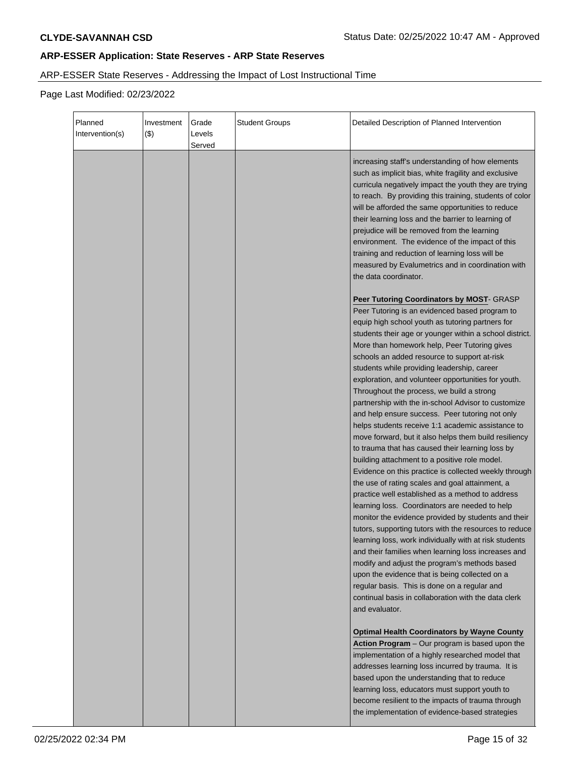# ARP-ESSER State Reserves - Addressing the Impact of Lost Instructional Time

| Planned<br>Intervention(s) | Investment<br>$($ \$) | Grade<br>Levels<br>Served | <b>Student Groups</b> | Detailed Description of Planned Intervention                                                                                                                                                                                                                                                                                                                                                                                                                                                                                                                                                                                                                                                                                                                                                                                                                                                                                                                                                                                                                                                                                                                                                                                                                                                                                                                                                                                                              |
|----------------------------|-----------------------|---------------------------|-----------------------|-----------------------------------------------------------------------------------------------------------------------------------------------------------------------------------------------------------------------------------------------------------------------------------------------------------------------------------------------------------------------------------------------------------------------------------------------------------------------------------------------------------------------------------------------------------------------------------------------------------------------------------------------------------------------------------------------------------------------------------------------------------------------------------------------------------------------------------------------------------------------------------------------------------------------------------------------------------------------------------------------------------------------------------------------------------------------------------------------------------------------------------------------------------------------------------------------------------------------------------------------------------------------------------------------------------------------------------------------------------------------------------------------------------------------------------------------------------|
|                            |                       |                           |                       | increasing staff's understanding of how elements<br>such as implicit bias, white fragility and exclusive<br>curricula negatively impact the youth they are trying<br>to reach. By providing this training, students of color<br>will be afforded the same opportunities to reduce<br>their learning loss and the barrier to learning of<br>prejudice will be removed from the learning<br>environment. The evidence of the impact of this<br>training and reduction of learning loss will be<br>measured by Evalumetrics and in coordination with<br>the data coordinator.                                                                                                                                                                                                                                                                                                                                                                                                                                                                                                                                                                                                                                                                                                                                                                                                                                                                                |
|                            |                       |                           |                       | Peer Tutoring Coordinators by MOST- GRASP<br>Peer Tutoring is an evidenced based program to<br>equip high school youth as tutoring partners for<br>students their age or younger within a school district.<br>More than homework help, Peer Tutoring gives<br>schools an added resource to support at-risk<br>students while providing leadership, career<br>exploration, and volunteer opportunities for youth.<br>Throughout the process, we build a strong<br>partnership with the in-school Advisor to customize<br>and help ensure success. Peer tutoring not only<br>helps students receive 1:1 academic assistance to<br>move forward, but it also helps them build resiliency<br>to trauma that has caused their learning loss by<br>building attachment to a positive role model.<br>Evidence on this practice is collected weekly through<br>the use of rating scales and goal attainment, a<br>practice well established as a method to address<br>learning loss. Coordinators are needed to help<br>monitor the evidence provided by students and their<br>tutors, supporting tutors with the resources to reduce<br>learning loss, work individually with at risk students<br>and their families when learning loss increases and<br>modify and adjust the program's methods based<br>upon the evidence that is being collected on a<br>regular basis. This is done on a regular and<br>continual basis in collaboration with the data clerk |
|                            |                       |                           |                       | and evaluator.<br><b>Optimal Health Coordinators by Wayne County</b><br>Action Program - Our program is based upon the<br>implementation of a highly researched model that<br>addresses learning loss incurred by trauma. It is<br>based upon the understanding that to reduce<br>learning loss, educators must support youth to<br>become resilient to the impacts of trauma through<br>the implementation of evidence-based strategies                                                                                                                                                                                                                                                                                                                                                                                                                                                                                                                                                                                                                                                                                                                                                                                                                                                                                                                                                                                                                  |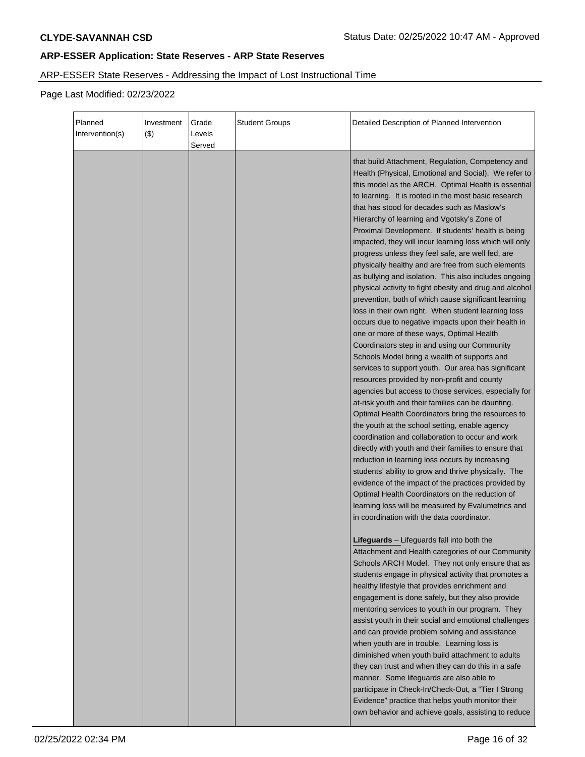# ARP-ESSER State Reserves - Addressing the Impact of Lost Instructional Time

| Planned<br>Intervention(s) | Investment<br>$($ \$) | Grade<br>Levels<br>Served | <b>Student Groups</b> | Detailed Description of Planned Intervention                                                                                                                                                                                                                                                                                                                                                                                                                                                                                                                                                                                                                                                                                                                                                                                                                                                                                                                                                                                                                                                                                                                                                                                                                                                                                                                                                                                                                                                                                                                                                                                                                                                                                                                |
|----------------------------|-----------------------|---------------------------|-----------------------|-------------------------------------------------------------------------------------------------------------------------------------------------------------------------------------------------------------------------------------------------------------------------------------------------------------------------------------------------------------------------------------------------------------------------------------------------------------------------------------------------------------------------------------------------------------------------------------------------------------------------------------------------------------------------------------------------------------------------------------------------------------------------------------------------------------------------------------------------------------------------------------------------------------------------------------------------------------------------------------------------------------------------------------------------------------------------------------------------------------------------------------------------------------------------------------------------------------------------------------------------------------------------------------------------------------------------------------------------------------------------------------------------------------------------------------------------------------------------------------------------------------------------------------------------------------------------------------------------------------------------------------------------------------------------------------------------------------------------------------------------------------|
|                            |                       |                           |                       | that build Attachment, Regulation, Competency and<br>Health (Physical, Emotional and Social). We refer to<br>this model as the ARCH. Optimal Health is essential<br>to learning. It is rooted in the most basic research<br>that has stood for decades such as Maslow's<br>Hierarchy of learning and Vgotsky's Zone of<br>Proximal Development. If students' health is being<br>impacted, they will incur learning loss which will only<br>progress unless they feel safe, are well fed, are<br>physically healthy and are free from such elements<br>as bullying and isolation. This also includes ongoing<br>physical activity to fight obesity and drug and alcohol<br>prevention, both of which cause significant learning<br>loss in their own right. When student learning loss<br>occurs due to negative impacts upon their health in<br>one or more of these ways, Optimal Health<br>Coordinators step in and using our Community<br>Schools Model bring a wealth of supports and<br>services to support youth. Our area has significant<br>resources provided by non-profit and county<br>agencies but access to those services, especially for<br>at-risk youth and their families can be daunting.<br>Optimal Health Coordinators bring the resources to<br>the youth at the school setting, enable agency<br>coordination and collaboration to occur and work<br>directly with youth and their families to ensure that<br>reduction in learning loss occurs by increasing<br>students' ability to grow and thrive physically. The<br>evidence of the impact of the practices provided by<br>Optimal Health Coordinators on the reduction of<br>learning loss will be measured by Evalumetrics and<br>in coordination with the data coordinator. |
|                            |                       |                           |                       | Lifeguards - Lifeguards fall into both the<br>Attachment and Health categories of our Community<br>Schools ARCH Model. They not only ensure that as<br>students engage in physical activity that promotes a<br>healthy lifestyle that provides enrichment and<br>engagement is done safely, but they also provide<br>mentoring services to youth in our program. They<br>assist youth in their social and emotional challenges<br>and can provide problem solving and assistance<br>when youth are in trouble. Learning loss is<br>diminished when youth build attachment to adults<br>they can trust and when they can do this in a safe<br>manner. Some lifeguards are also able to<br>participate in Check-In/Check-Out, a "Tier I Strong<br>Evidence" practice that helps youth monitor their<br>own behavior and achieve goals, assisting to reduce                                                                                                                                                                                                                                                                                                                                                                                                                                                                                                                                                                                                                                                                                                                                                                                                                                                                                                    |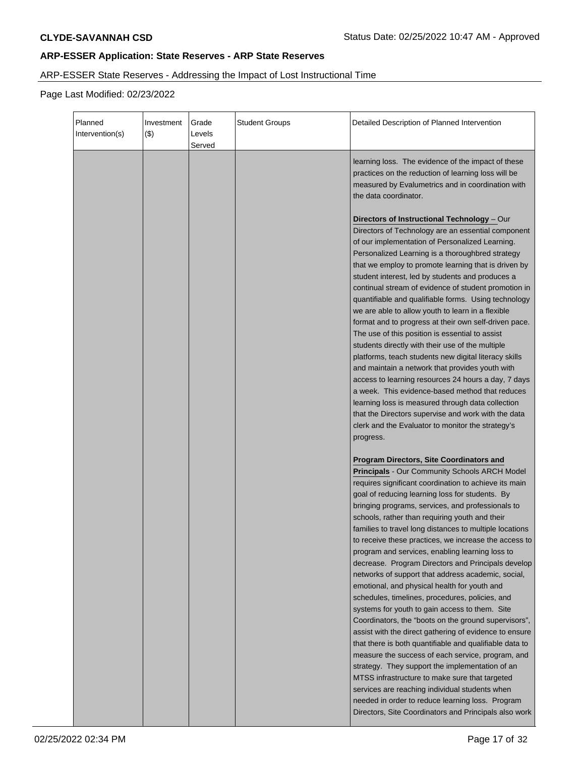# ARP-ESSER State Reserves - Addressing the Impact of Lost Instructional Time

| Planned<br>Intervention(s) | Investment<br>$(\$)$ | Grade<br>Levels<br>Served | <b>Student Groups</b> | Detailed Description of Planned Intervention                                                                                                                                                                                                                                                                                                                                                                                                                                                                                                                                                                                                                                                                                                                                                                                                                                                                                                                                                                                                                                                                                                                                                                                                                             |
|----------------------------|----------------------|---------------------------|-----------------------|--------------------------------------------------------------------------------------------------------------------------------------------------------------------------------------------------------------------------------------------------------------------------------------------------------------------------------------------------------------------------------------------------------------------------------------------------------------------------------------------------------------------------------------------------------------------------------------------------------------------------------------------------------------------------------------------------------------------------------------------------------------------------------------------------------------------------------------------------------------------------------------------------------------------------------------------------------------------------------------------------------------------------------------------------------------------------------------------------------------------------------------------------------------------------------------------------------------------------------------------------------------------------|
|                            |                      |                           |                       | learning loss. The evidence of the impact of these<br>practices on the reduction of learning loss will be<br>measured by Evalumetrics and in coordination with<br>the data coordinator.                                                                                                                                                                                                                                                                                                                                                                                                                                                                                                                                                                                                                                                                                                                                                                                                                                                                                                                                                                                                                                                                                  |
|                            |                      |                           |                       | Directors of Instructional Technology - Our<br>Directors of Technology are an essential component<br>of our implementation of Personalized Learning.<br>Personalized Learning is a thoroughbred strategy<br>that we employ to promote learning that is driven by<br>student interest, led by students and produces a<br>continual stream of evidence of student promotion in<br>quantifiable and qualifiable forms. Using technology<br>we are able to allow youth to learn in a flexible<br>format and to progress at their own self-driven pace.<br>The use of this position is essential to assist<br>students directly with their use of the multiple<br>platforms, teach students new digital literacy skills<br>and maintain a network that provides youth with<br>access to learning resources 24 hours a day, 7 days<br>a week. This evidence-based method that reduces<br>learning loss is measured through data collection<br>that the Directors supervise and work with the data<br>clerk and the Evaluator to monitor the strategy's<br>progress.                                                                                                                                                                                                            |
|                            |                      |                           |                       | <b>Program Directors, Site Coordinators and</b><br><b>Principals - Our Community Schools ARCH Model</b><br>requires significant coordination to achieve its main<br>goal of reducing learning loss for students. By<br>bringing programs, services, and professionals to<br>schools, rather than requiring youth and their<br>families to travel long distances to multiple locations<br>to receive these practices, we increase the access to<br>program and services, enabling learning loss to<br>decrease. Program Directors and Principals develop<br>networks of support that address academic, social,<br>emotional, and physical health for youth and<br>schedules, timelines, procedures, policies, and<br>systems for youth to gain access to them. Site<br>Coordinators, the "boots on the ground supervisors",<br>assist with the direct gathering of evidence to ensure<br>that there is both quantifiable and qualifiable data to<br>measure the success of each service, program, and<br>strategy. They support the implementation of an<br>MTSS infrastructure to make sure that targeted<br>services are reaching individual students when<br>needed in order to reduce learning loss. Program<br>Directors, Site Coordinators and Principals also work |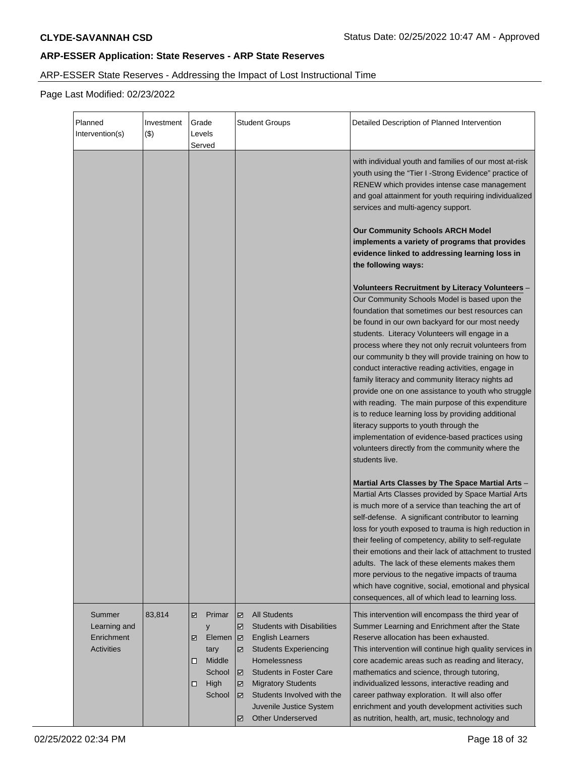# ARP-ESSER State Reserves - Addressing the Impact of Lost Instructional Time

| Planned<br>Intervention(s)                                | Investment<br>(3) | Grade<br>Levels<br>Served                                                               | <b>Student Groups</b>                                                                                                                                                                                                                                                                                                           | Detailed Description of Planned Intervention                                                                                                                                                                                                                                                                                                                                                                                                                                                                                                                                                                                                                                                                                                                                                                                                                                        |
|-----------------------------------------------------------|-------------------|-----------------------------------------------------------------------------------------|---------------------------------------------------------------------------------------------------------------------------------------------------------------------------------------------------------------------------------------------------------------------------------------------------------------------------------|-------------------------------------------------------------------------------------------------------------------------------------------------------------------------------------------------------------------------------------------------------------------------------------------------------------------------------------------------------------------------------------------------------------------------------------------------------------------------------------------------------------------------------------------------------------------------------------------------------------------------------------------------------------------------------------------------------------------------------------------------------------------------------------------------------------------------------------------------------------------------------------|
|                                                           |                   |                                                                                         |                                                                                                                                                                                                                                                                                                                                 | with individual youth and families of our most at-risk<br>youth using the "Tier I -Strong Evidence" practice of<br>RENEW which provides intense case management<br>and goal attainment for youth requiring individualized<br>services and multi-agency support.                                                                                                                                                                                                                                                                                                                                                                                                                                                                                                                                                                                                                     |
|                                                           |                   |                                                                                         |                                                                                                                                                                                                                                                                                                                                 | <b>Our Community Schools ARCH Model</b><br>implements a variety of programs that provides<br>evidence linked to addressing learning loss in<br>the following ways:                                                                                                                                                                                                                                                                                                                                                                                                                                                                                                                                                                                                                                                                                                                  |
|                                                           |                   |                                                                                         |                                                                                                                                                                                                                                                                                                                                 | <b>Volunteers Recruitment by Literacy Volunteers -</b><br>Our Community Schools Model is based upon the<br>foundation that sometimes our best resources can<br>be found in our own backyard for our most needy<br>students. Literacy Volunteers will engage in a<br>process where they not only recruit volunteers from<br>our community b they will provide training on how to<br>conduct interactive reading activities, engage in<br>family literacy and community literacy nights ad<br>provide one on one assistance to youth who struggle<br>with reading. The main purpose of this expenditure<br>is to reduce learning loss by providing additional<br>literacy supports to youth through the<br>implementation of evidence-based practices using<br>volunteers directly from the community where the<br>students live.<br>Martial Arts Classes by The Space Martial Arts - |
|                                                           |                   |                                                                                         |                                                                                                                                                                                                                                                                                                                                 | Martial Arts Classes provided by Space Martial Arts<br>is much more of a service than teaching the art of<br>self-defense. A significant contributor to learning<br>loss for youth exposed to trauma is high reduction in<br>their feeling of competency, ability to self-regulate<br>their emotions and their lack of attachment to trusted<br>adults. The lack of these elements makes them<br>more pervious to the negative impacts of trauma<br>which have cognitive, social, emotional and physical<br>consequences, all of which lead to learning loss.                                                                                                                                                                                                                                                                                                                       |
| Summer<br>Learning and<br>Enrichment<br><b>Activities</b> | 83,814            | Primar<br>☑<br>y<br>Elemen<br>☑<br>tary<br>Middle<br>◻<br>School<br>High<br>◻<br>School | <b>All Students</b><br>☑<br><b>Students with Disabilities</b><br>☑<br><b>English Learners</b><br>☑<br><b>Students Experiencing</b><br>☑<br>Homelessness<br><b>Students in Foster Care</b><br>☑<br><b>Migratory Students</b><br>☑<br>Students Involved with the<br>☑<br>Juvenile Justice System<br><b>Other Underserved</b><br>☑ | This intervention will encompass the third year of<br>Summer Learning and Enrichment after the State<br>Reserve allocation has been exhausted.<br>This intervention will continue high quality services in<br>core academic areas such as reading and literacy,<br>mathematics and science, through tutoring,<br>individualized lessons, interactive reading and<br>career pathway exploration. It will also offer<br>enrichment and youth development activities such<br>as nutrition, health, art, music, technology and                                                                                                                                                                                                                                                                                                                                                          |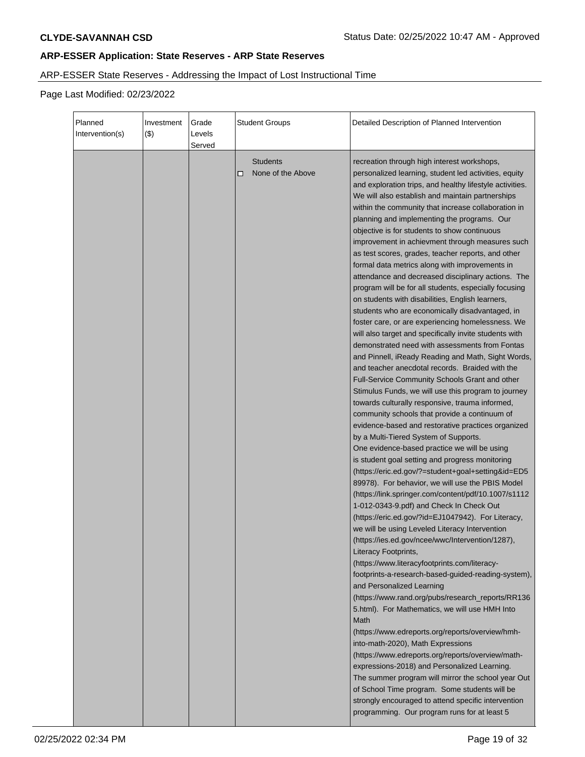# ARP-ESSER State Reserves - Addressing the Impact of Lost Instructional Time

| Planned<br>Intervention(s)<br>$($ \$) | Investment | Grade<br>Levels<br>Served | Student Groups                            | Detailed Description of Planned Intervention                                                                                                                                                                                                                                                                                                                                                                                                                                                                                                                                                                                                                                                                                                                                                                                                                                                                                                                                                                                                                                                                                                                                                                                                                                                                                                                                                                                                                                                                                                                                                                                                                                                                                                                                                                                                                                                                                                                                                                                                                                                                                                                                                                                                                                                                                                                                                                                                                           |
|---------------------------------------|------------|---------------------------|-------------------------------------------|------------------------------------------------------------------------------------------------------------------------------------------------------------------------------------------------------------------------------------------------------------------------------------------------------------------------------------------------------------------------------------------------------------------------------------------------------------------------------------------------------------------------------------------------------------------------------------------------------------------------------------------------------------------------------------------------------------------------------------------------------------------------------------------------------------------------------------------------------------------------------------------------------------------------------------------------------------------------------------------------------------------------------------------------------------------------------------------------------------------------------------------------------------------------------------------------------------------------------------------------------------------------------------------------------------------------------------------------------------------------------------------------------------------------------------------------------------------------------------------------------------------------------------------------------------------------------------------------------------------------------------------------------------------------------------------------------------------------------------------------------------------------------------------------------------------------------------------------------------------------------------------------------------------------------------------------------------------------------------------------------------------------------------------------------------------------------------------------------------------------------------------------------------------------------------------------------------------------------------------------------------------------------------------------------------------------------------------------------------------------------------------------------------------------------------------------------------------------|
|                                       |            |                           | <b>Students</b><br>None of the Above<br>◻ | recreation through high interest workshops,<br>personalized learning, student led activities, equity<br>and exploration trips, and healthy lifestyle activities.<br>We will also establish and maintain partnerships<br>within the community that increase collaboration in<br>planning and implementing the programs. Our<br>objective is for students to show continuous<br>improvement in achievment through measures such<br>as test scores, grades, teacher reports, and other<br>formal data metrics along with improvements in<br>attendance and decreased disciplinary actions. The<br>program will be for all students, especially focusing<br>on students with disabilities, English learners,<br>students who are economically disadvantaged, in<br>foster care, or are experiencing homelessness. We<br>will also target and specifically invite students with<br>demonstrated need with assessments from Fontas<br>and Pinnell, iReady Reading and Math, Sight Words,<br>and teacher anecdotal records. Braided with the<br>Full-Service Community Schools Grant and other<br>Stimulus Funds, we will use this program to journey<br>towards culturally responsive, trauma informed,<br>community schools that provide a continuum of<br>evidence-based and restorative practices organized<br>by a Multi-Tiered System of Supports.<br>One evidence-based practice we will be using<br>is student goal setting and progress monitoring<br>(https://eric.ed.gov/?=student+goal+setting&id=ED5<br>89978). For behavior, we will use the PBIS Model<br>(https://link.springer.com/content/pdf/10.1007/s1112<br>1-012-0343-9.pdf) and Check In Check Out<br>(https://eric.ed.gov/?id=EJ1047942). For Literacy,<br>we will be using Leveled Literacy Intervention<br>(https://ies.ed.gov/ncee/wwc/Intervention/1287),<br>Literacy Footprints,<br>(https://www.literacyfootprints.com/literacy-<br>footprints-a-research-based-guided-reading-system),<br>and Personalized Learning<br>(https://www.rand.org/pubs/research_reports/RR136<br>5.html). For Mathematics, we will use HMH Into<br>Math<br>(https://www.edreports.org/reports/overview/hmh-<br>into-math-2020), Math Expressions<br>(https://www.edreports.org/reports/overview/math-<br>expressions-2018) and Personalized Learning.<br>The summer program will mirror the school year Out<br>of School Time program. Some students will be<br>strongly encouraged to attend specific intervention |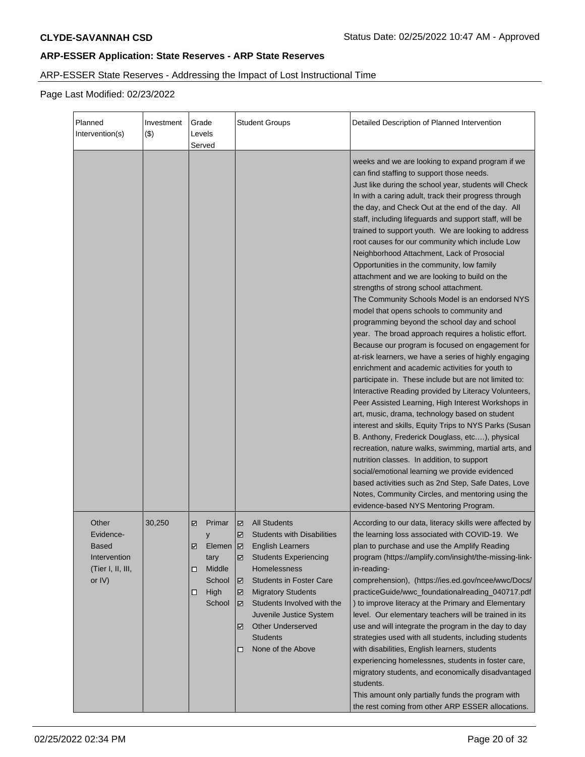# ARP-ESSER State Reserves - Addressing the Impact of Lost Instructional Time

| Planned<br>Intervention(s)                                                          | Investment<br>$($ \$) | Grade<br>Levels<br>Served                                                                   | <b>Student Groups</b>                                                                                                                                                                                                                                                                                                                                                          | Detailed Description of Planned Intervention                                                                                                                                                                                                                                                                                                                                                                                                                                                                                                                                                                                                                                                                                                                                                                                                                                                                                                                                                                                                                                                                                                                                                                                                                                                                                                                                                                                                                                                                                                                                                                                                            |
|-------------------------------------------------------------------------------------|-----------------------|---------------------------------------------------------------------------------------------|--------------------------------------------------------------------------------------------------------------------------------------------------------------------------------------------------------------------------------------------------------------------------------------------------------------------------------------------------------------------------------|---------------------------------------------------------------------------------------------------------------------------------------------------------------------------------------------------------------------------------------------------------------------------------------------------------------------------------------------------------------------------------------------------------------------------------------------------------------------------------------------------------------------------------------------------------------------------------------------------------------------------------------------------------------------------------------------------------------------------------------------------------------------------------------------------------------------------------------------------------------------------------------------------------------------------------------------------------------------------------------------------------------------------------------------------------------------------------------------------------------------------------------------------------------------------------------------------------------------------------------------------------------------------------------------------------------------------------------------------------------------------------------------------------------------------------------------------------------------------------------------------------------------------------------------------------------------------------------------------------------------------------------------------------|
|                                                                                     |                       |                                                                                             |                                                                                                                                                                                                                                                                                                                                                                                | weeks and we are looking to expand program if we<br>can find staffing to support those needs.<br>Just like during the school year, students will Check<br>In with a caring adult, track their progress through<br>the day, and Check Out at the end of the day. All<br>staff, including lifeguards and support staff, will be<br>trained to support youth. We are looking to address<br>root causes for our community which include Low<br>Neighborhood Attachment, Lack of Prosocial<br>Opportunities in the community, low family<br>attachment and we are looking to build on the<br>strengths of strong school attachment.<br>The Community Schools Model is an endorsed NYS<br>model that opens schools to community and<br>programming beyond the school day and school<br>year. The broad approach requires a holistic effort.<br>Because our program is focused on engagement for<br>at-risk learners, we have a series of highly engaging<br>enrichment and academic activities for youth to<br>participate in. These include but are not limited to:<br>Interactive Reading provided by Literacy Volunteers,<br>Peer Assisted Learning, High Interest Workshops in<br>art, music, drama, technology based on student<br>interest and skills, Equity Trips to NYS Parks (Susan<br>B. Anthony, Frederick Douglass, etc), physical<br>recreation, nature walks, swimming, martial arts, and<br>nutrition classes. In addition, to support<br>social/emotional learning we provide evidenced<br>based activities such as 2nd Step, Safe Dates, Love<br>Notes, Community Circles, and mentoring using the<br>evidence-based NYS Mentoring Program. |
| Other<br>Evidence-<br><b>Based</b><br>Intervention<br>(Tier I, II, III,<br>or $IV)$ | 30,250                | Primar<br>V<br>у<br>Elemen   Ø<br>☑<br>tary<br>Middle<br>□<br>School<br>High<br>□<br>School | <b>All Students</b><br>☑<br><b>Students with Disabilities</b><br>☑<br><b>English Learners</b><br><b>Students Experiencing</b><br>☑<br><b>Homelessness</b><br><b>Students in Foster Care</b><br>☑<br><b>Migratory Students</b><br>☑<br>Students Involved with the<br>☑<br>Juvenile Justice System<br><b>Other Underserved</b><br>☑<br><b>Students</b><br>None of the Above<br>◻ | According to our data, literacy skills were affected by<br>the learning loss associated with COVID-19. We<br>plan to purchase and use the Amplify Reading<br>program (https://amplify.com/insight/the-missing-link-<br>in-reading-<br>comprehension), (https://ies.ed.gov/ncee/wwc/Docs/<br>practiceGuide/wwc_foundationalreading_040717.pdf<br>) to improve literacy at the Primary and Elementary<br>level. Our elementary teachers will be trained in its<br>use and will integrate the program in the day to day<br>strategies used with all students, including students<br>with disabilities, English learners, students<br>experiencing homelessnes, students in foster care,<br>migratory students, and economically disadvantaged<br>students.<br>This amount only partially funds the program with<br>the rest coming from other ARP ESSER allocations.                                                                                                                                                                                                                                                                                                                                                                                                                                                                                                                                                                                                                                                                                                                                                                                       |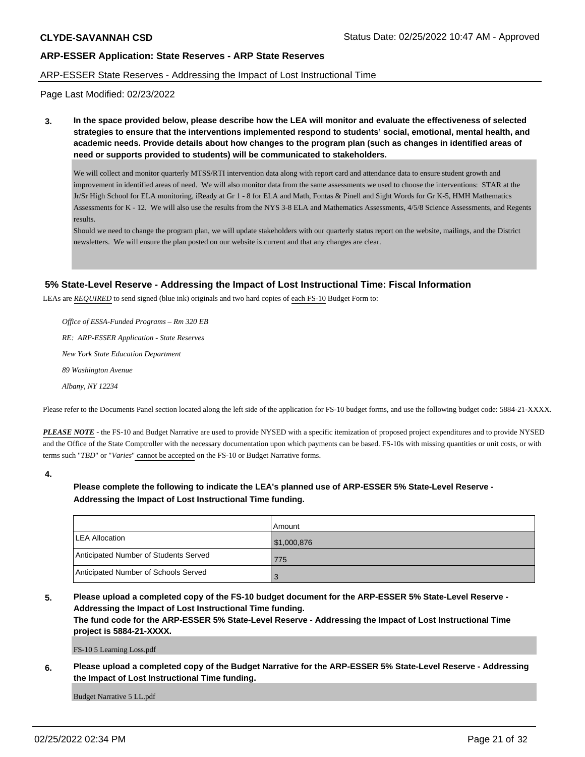### ARP-ESSER State Reserves - Addressing the Impact of Lost Instructional Time

Page Last Modified: 02/23/2022

**3. In the space provided below, please describe how the LEA will monitor and evaluate the effectiveness of selected strategies to ensure that the interventions implemented respond to students' social, emotional, mental health, and academic needs. Provide details about how changes to the program plan (such as changes in identified areas of need or supports provided to students) will be communicated to stakeholders.**

We will collect and monitor quarterly MTSS/RTI intervention data along with report card and attendance data to ensure student growth and improvement in identified areas of need. We will also monitor data from the same assessments we used to choose the interventions: STAR at the Jr/Sr High School for ELA monitoring, iReady at Gr 1 - 8 for ELA and Math, Fontas & Pinell and Sight Words for Gr K-5, HMH Mathematics Assessments for K - 12. We will also use the results from the NYS 3-8 ELA and Mathematics Assessments, 4/5/8 Science Assessments, and Regents results.

Should we need to change the program plan, we will update stakeholders with our quarterly status report on the website, mailings, and the District newsletters. We will ensure the plan posted on our website is current and that any changes are clear.

### **5% State-Level Reserve - Addressing the Impact of Lost Instructional Time: Fiscal Information**

LEAs are *REQUIRED* to send signed (blue ink) originals and two hard copies of each FS-10 Budget Form to:

 *Office of ESSA-Funded Programs – Rm 320 EB RE: ARP-ESSER Application - State Reserves New York State Education Department 89 Washington Avenue Albany, NY 12234*

Please refer to the Documents Panel section located along the left side of the application for FS-10 budget forms, and use the following budget code: 5884-21-XXXX.

*PLEASE NOTE* - the FS-10 and Budget Narrative are used to provide NYSED with a specific itemization of proposed project expenditures and to provide NYSED and the Office of the State Comptroller with the necessary documentation upon which payments can be based. FS-10s with missing quantities or unit costs, or with terms such "*TBD*" or "*Varies*" cannot be accepted on the FS-10 or Budget Narrative forms.

**4.**

# **Please complete the following to indicate the LEA's planned use of ARP-ESSER 5% State-Level Reserve - Addressing the Impact of Lost Instructional Time funding.**

|                                       | Amount      |
|---------------------------------------|-------------|
| <b>LEA Allocation</b>                 | \$1,000,876 |
| Anticipated Number of Students Served | 775         |
| Anticipated Number of Schools Served  | æ           |

**5. Please upload a completed copy of the FS-10 budget document for the ARP-ESSER 5% State-Level Reserve - Addressing the Impact of Lost Instructional Time funding.**

**The fund code for the ARP-ESSER 5% State-Level Reserve - Addressing the Impact of Lost Instructional Time project is 5884-21-XXXX.**

FS-10 5 Learning Loss.pdf

**6. Please upload a completed copy of the Budget Narrative for the ARP-ESSER 5% State-Level Reserve - Addressing the Impact of Lost Instructional Time funding.**

Budget Narrative 5 LL.pdf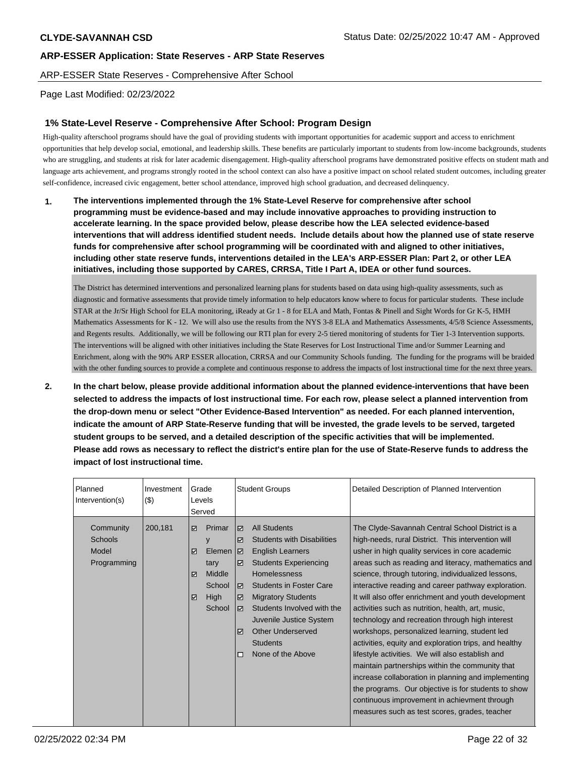ARP-ESSER State Reserves - Comprehensive After School

Page Last Modified: 02/23/2022

# **1% State-Level Reserve - Comprehensive After School: Program Design**

High-quality afterschool programs should have the goal of providing students with important opportunities for academic support and access to enrichment opportunities that help develop social, emotional, and leadership skills. These benefits are particularly important to students from low-income backgrounds, students who are struggling, and students at risk for later academic disengagement. High-quality afterschool programs have demonstrated positive effects on student math and language arts achievement, and programs strongly rooted in the school context can also have a positive impact on school related student outcomes, including greater self-confidence, increased civic engagement, better school attendance, improved high school graduation, and decreased delinquency.

**1. The interventions implemented through the 1% State-Level Reserve for comprehensive after school programming must be evidence-based and may include innovative approaches to providing instruction to accelerate learning. In the space provided below, please describe how the LEA selected evidence-based interventions that will address identified student needs. Include details about how the planned use of state reserve funds for comprehensive after school programming will be coordinated with and aligned to other initiatives, including other state reserve funds, interventions detailed in the LEA's ARP-ESSER Plan: Part 2, or other LEA initiatives, including those supported by CARES, CRRSA, Title I Part A, IDEA or other fund sources.**

The District has determined interventions and personalized learning plans for students based on data using high-quality assessments, such as diagnostic and formative assessments that provide timely information to help educators know where to focus for particular students. These include STAR at the Jr/Sr High School for ELA monitoring, iReady at Gr 1 - 8 for ELA and Math, Fontas & Pinell and Sight Words for Gr K-5, HMH Mathematics Assessments for K - 12. We will also use the results from the NYS 3-8 ELA and Mathematics Assessments, 4/5/8 Science Assessments, and Regents results. Additionally, we will be following our RTI plan for every 2-5 tiered monitoring of students for Tier 1-3 Intervention supports. The interventions will be aligned with other initiatives including the State Reserves for Lost Instructional Time and/or Summer Learning and Enrichment, along with the 90% ARP ESSER allocation, CRRSA and our Community Schools funding. The funding for the programs will be braided with the other funding sources to provide a complete and continuous response to address the impacts of lost instructional time for the next three years.

**2. In the chart below, please provide additional information about the planned evidence-interventions that have been selected to address the impacts of lost instructional time. For each row, please select a planned intervention from the drop-down menu or select "Other Evidence-Based Intervention" as needed. For each planned intervention, indicate the amount of ARP State-Reserve funding that will be invested, the grade levels to be served, targeted student groups to be served, and a detailed description of the specific activities that will be implemented. Please add rows as necessary to reflect the district's entire plan for the use of State-Reserve funds to address the impact of lost instructional time.**

| Planned<br>Intervention(s)                   | Investment<br>(3) | Grade<br>Levels<br>Served     |                                                        |                                               | <b>Student Groups</b>                                                                                                                                                                                                                                                                                                           | Detailed Description of Planned Intervention                                                                                                                                                                                                                                                                                                                                                                                                                                                                                                                                                                                                                                                                                                                                                                                                                                                                                |
|----------------------------------------------|-------------------|-------------------------------|--------------------------------------------------------|-----------------------------------------------|---------------------------------------------------------------------------------------------------------------------------------------------------------------------------------------------------------------------------------------------------------------------------------------------------------------------------------|-----------------------------------------------------------------------------------------------------------------------------------------------------------------------------------------------------------------------------------------------------------------------------------------------------------------------------------------------------------------------------------------------------------------------------------------------------------------------------------------------------------------------------------------------------------------------------------------------------------------------------------------------------------------------------------------------------------------------------------------------------------------------------------------------------------------------------------------------------------------------------------------------------------------------------|
| Community<br>Schools<br>Model<br>Programming | 200,181           | ☑<br>y<br>☑<br>tary<br>☑<br>☑ | Primar<br>Elemen<br>Middle<br>School<br>High<br>School | ₽<br>☑<br>  ⊽<br>☑<br>  ⊽<br>☑<br>☑<br>罓<br>п | <b>All Students</b><br><b>Students with Disabilities</b><br><b>English Learners</b><br><b>Students Experiencing</b><br><b>Homelessness</b><br><b>Students in Foster Care</b><br><b>Migratory Students</b><br>Students Involved with the<br>Juvenile Justice System<br>Other Underserved<br><b>Students</b><br>None of the Above | The Clyde-Savannah Central School District is a<br>high-needs, rural District. This intervention will<br>usher in high quality services in core academic<br>areas such as reading and literacy, mathematics and<br>science, through tutoring, individualized lessons,<br>interactive reading and career pathway exploration.<br>It will also offer enrichment and youth development<br>activities such as nutrition, health, art, music,<br>technology and recreation through high interest<br>workshops, personalized learning, student led<br>activities, equity and exploration trips, and healthy<br>lifestyle activities. We will also establish and<br>maintain partnerships within the community that<br>increase collaboration in planning and implementing<br>the programs. Our objective is for students to show<br>continuous improvement in achievment through<br>measures such as test scores, grades, teacher |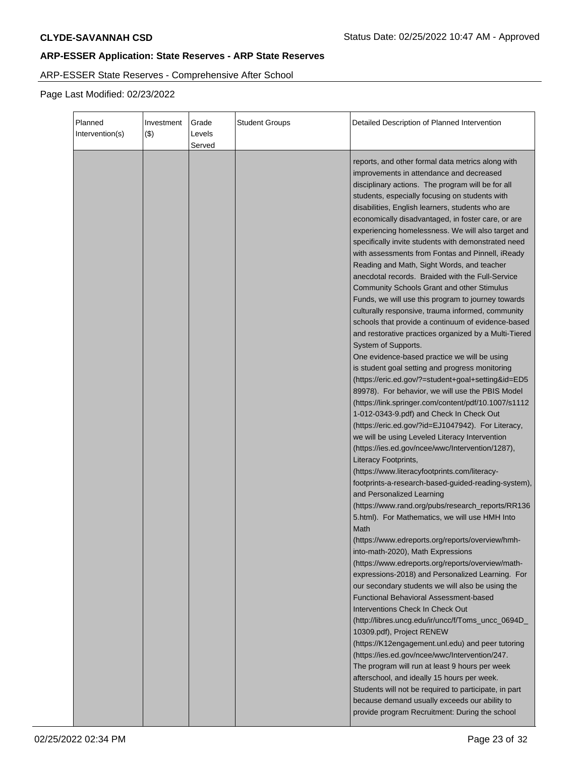# ARP-ESSER State Reserves - Comprehensive After School

| Planned<br>Intervention(s) | Investment<br>$($ \$) | Grade<br>Levels<br>Served | <b>Student Groups</b> | Detailed Description of Planned Intervention                                                                                                                                                                                                                                                                                                                                                                                                                                                                                                                                                                                                                                                                                                                                                                                                                                                                                                                                                                                                                                                                                                                                                                                                                                                                                                                                                                                                                                                                                                                                                                                                                                                                                              |
|----------------------------|-----------------------|---------------------------|-----------------------|-------------------------------------------------------------------------------------------------------------------------------------------------------------------------------------------------------------------------------------------------------------------------------------------------------------------------------------------------------------------------------------------------------------------------------------------------------------------------------------------------------------------------------------------------------------------------------------------------------------------------------------------------------------------------------------------------------------------------------------------------------------------------------------------------------------------------------------------------------------------------------------------------------------------------------------------------------------------------------------------------------------------------------------------------------------------------------------------------------------------------------------------------------------------------------------------------------------------------------------------------------------------------------------------------------------------------------------------------------------------------------------------------------------------------------------------------------------------------------------------------------------------------------------------------------------------------------------------------------------------------------------------------------------------------------------------------------------------------------------------|
|                            |                       |                           |                       | reports, and other formal data metrics along with<br>improvements in attendance and decreased<br>disciplinary actions. The program will be for all<br>students, especially focusing on students with<br>disabilities, English learners, students who are<br>economically disadvantaged, in foster care, or are<br>experiencing homelessness. We will also target and<br>specifically invite students with demonstrated need<br>with assessments from Fontas and Pinnell, iReady<br>Reading and Math, Sight Words, and teacher<br>anecdotal records. Braided with the Full-Service<br><b>Community Schools Grant and other Stimulus</b><br>Funds, we will use this program to journey towards<br>culturally responsive, trauma informed, community<br>schools that provide a continuum of evidence-based<br>and restorative practices organized by a Multi-Tiered<br>System of Supports.<br>One evidence-based practice we will be using<br>is student goal setting and progress monitoring<br>(https://eric.ed.gov/?=student+goal+setting&id=ED5<br>89978). For behavior, we will use the PBIS Model<br>(https://link.springer.com/content/pdf/10.1007/s1112<br>1-012-0343-9.pdf) and Check In Check Out<br>(https://eric.ed.gov/?id=EJ1047942). For Literacy,<br>we will be using Leveled Literacy Intervention<br>(https://ies.ed.gov/ncee/wwc/Intervention/1287),<br>Literacy Footprints,<br>(https://www.literacyfootprints.com/literacy-<br>footprints-a-research-based-guided-reading-system),<br>and Personalized Learning<br>(https://www.rand.org/pubs/research_reports/RR136<br>5.html). For Mathematics, we will use HMH Into<br>Math<br>(https://www.edreports.org/reports/overview/hmh-<br>into-math-2020), Math Expressions |
|                            |                       |                           |                       | (https://www.edreports.org/reports/overview/math-<br>expressions-2018) and Personalized Learning. For<br>our secondary students we will also be using the<br><b>Functional Behavioral Assessment-based</b><br>Interventions Check In Check Out<br>(http://libres.uncg.edu/ir/uncc/f/Toms_uncc_0694D_<br>10309.pdf), Project RENEW<br>(https://K12engagement.unl.edu) and peer tutoring<br>(https://ies.ed.gov/ncee/wwc/Intervention/247.<br>The program will run at least 9 hours per week<br>afterschool, and ideally 15 hours per week.<br>Students will not be required to participate, in part<br>because demand usually exceeds our ability to<br>provide program Recruitment: During the school                                                                                                                                                                                                                                                                                                                                                                                                                                                                                                                                                                                                                                                                                                                                                                                                                                                                                                                                                                                                                                     |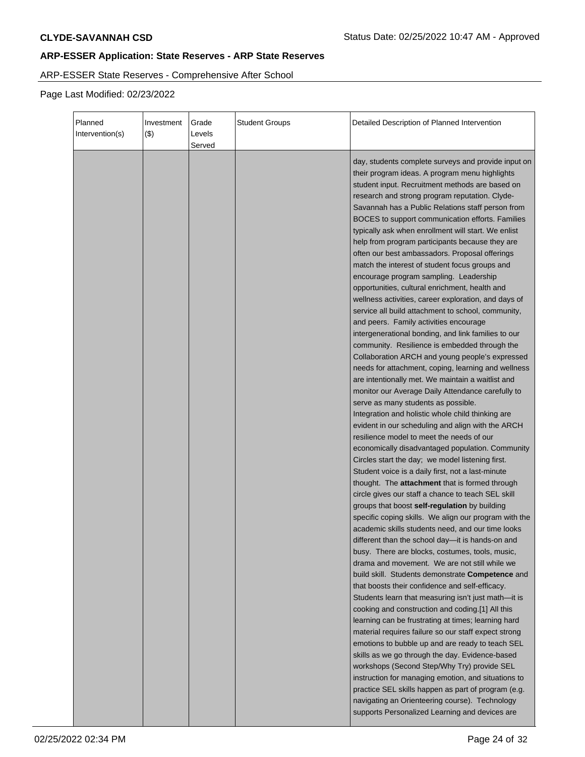# ARP-ESSER State Reserves - Comprehensive After School

| Planned<br>Intervention(s) | Investment<br>$($ \$) | Grade<br>Levels<br>Served | <b>Student Groups</b> | Detailed Description of Planned Intervention                                                                                                                                                                                                                                                                                                                                                                                                                                                                                                                                                                                                                                                                                                                                                                                                                                                                                                                                                                                                                                                                                                                                                                                                                                                                                                                                                                                                                                                                                                                                                                                                                                                                                                                                                                                                                                                                                                                                                                                                                                                                                                                                                                                                                                                                                                                                                                                                                                                                     |
|----------------------------|-----------------------|---------------------------|-----------------------|------------------------------------------------------------------------------------------------------------------------------------------------------------------------------------------------------------------------------------------------------------------------------------------------------------------------------------------------------------------------------------------------------------------------------------------------------------------------------------------------------------------------------------------------------------------------------------------------------------------------------------------------------------------------------------------------------------------------------------------------------------------------------------------------------------------------------------------------------------------------------------------------------------------------------------------------------------------------------------------------------------------------------------------------------------------------------------------------------------------------------------------------------------------------------------------------------------------------------------------------------------------------------------------------------------------------------------------------------------------------------------------------------------------------------------------------------------------------------------------------------------------------------------------------------------------------------------------------------------------------------------------------------------------------------------------------------------------------------------------------------------------------------------------------------------------------------------------------------------------------------------------------------------------------------------------------------------------------------------------------------------------------------------------------------------------------------------------------------------------------------------------------------------------------------------------------------------------------------------------------------------------------------------------------------------------------------------------------------------------------------------------------------------------------------------------------------------------------------------------------------------------|
|                            |                       |                           |                       | day, students complete surveys and provide input on<br>their program ideas. A program menu highlights<br>student input. Recruitment methods are based on<br>research and strong program reputation. Clyde-<br>Savannah has a Public Relations staff person from<br>BOCES to support communication efforts. Families<br>typically ask when enrollment will start. We enlist<br>help from program participants because they are<br>often our best ambassadors. Proposal offerings<br>match the interest of student focus groups and<br>encourage program sampling. Leadership<br>opportunities, cultural enrichment, health and<br>wellness activities, career exploration, and days of<br>service all build attachment to school, community,<br>and peers. Family activities encourage<br>intergenerational bonding, and link families to our<br>community. Resilience is embedded through the<br>Collaboration ARCH and young people's expressed<br>needs for attachment, coping, learning and wellness<br>are intentionally met. We maintain a waitlist and<br>monitor our Average Daily Attendance carefully to<br>serve as many students as possible.<br>Integration and holistic whole child thinking are<br>evident in our scheduling and align with the ARCH<br>resilience model to meet the needs of our<br>economically disadvantaged population. Community<br>Circles start the day; we model listening first.<br>Student voice is a daily first, not a last-minute<br>thought. The attachment that is formed through<br>circle gives our staff a chance to teach SEL skill<br>groups that boost self-regulation by building<br>specific coping skills. We align our program with the<br>academic skills students need, and our time looks<br>different than the school day-it is hands-on and<br>busy. There are blocks, costumes, tools, music,<br>drama and movement. We are not still while we<br>build skill. Students demonstrate Competence and<br>that boosts their confidence and self-efficacy.<br>Students learn that measuring isn't just math-it is<br>cooking and construction and coding.[1] All this<br>learning can be frustrating at times; learning hard<br>material requires failure so our staff expect strong<br>emotions to bubble up and are ready to teach SEL<br>skills as we go through the day. Evidence-based<br>workshops (Second Step/Why Try) provide SEL<br>instruction for managing emotion, and situations to<br>practice SEL skills happen as part of program (e.g. |
|                            |                       |                           |                       | navigating an Orienteering course). Technology<br>supports Personalized Learning and devices are                                                                                                                                                                                                                                                                                                                                                                                                                                                                                                                                                                                                                                                                                                                                                                                                                                                                                                                                                                                                                                                                                                                                                                                                                                                                                                                                                                                                                                                                                                                                                                                                                                                                                                                                                                                                                                                                                                                                                                                                                                                                                                                                                                                                                                                                                                                                                                                                                 |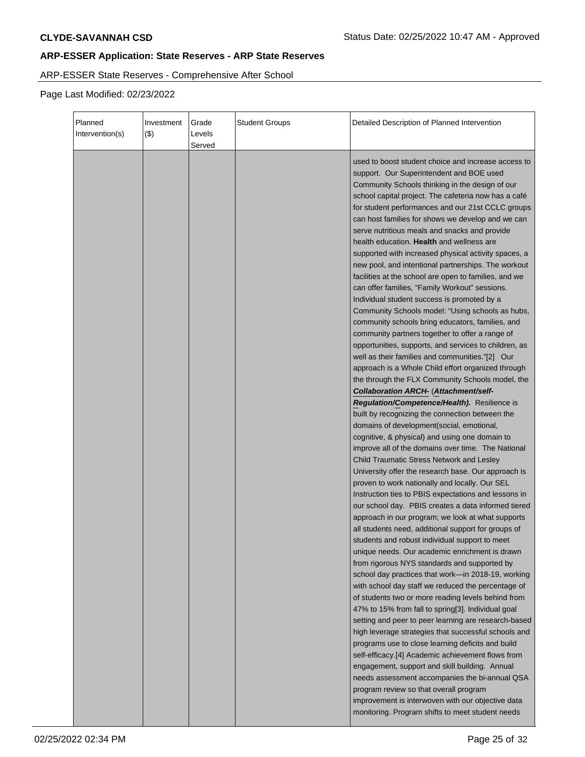# ARP-ESSER State Reserves - Comprehensive After School

| Planned<br>Intervention(s) | Investment<br>$($ \$) | Grade<br>Levels<br>Served | <b>Student Groups</b> | Detailed Description of Planned Intervention                                                                                                                                                                                                                                                                                                                                                                                                                                                                                                                                                                                                                                                                                                                                                                                                                                                                                                                                                                                                                                                                                                                                                                                                                                                                                                                                                                                                                                                                                                                                                                                                                                                                                                                                                                                                                                                                                                                                                                                                                                                                                                                                                                                                                                                                                                                                                                                                                             |
|----------------------------|-----------------------|---------------------------|-----------------------|--------------------------------------------------------------------------------------------------------------------------------------------------------------------------------------------------------------------------------------------------------------------------------------------------------------------------------------------------------------------------------------------------------------------------------------------------------------------------------------------------------------------------------------------------------------------------------------------------------------------------------------------------------------------------------------------------------------------------------------------------------------------------------------------------------------------------------------------------------------------------------------------------------------------------------------------------------------------------------------------------------------------------------------------------------------------------------------------------------------------------------------------------------------------------------------------------------------------------------------------------------------------------------------------------------------------------------------------------------------------------------------------------------------------------------------------------------------------------------------------------------------------------------------------------------------------------------------------------------------------------------------------------------------------------------------------------------------------------------------------------------------------------------------------------------------------------------------------------------------------------------------------------------------------------------------------------------------------------------------------------------------------------------------------------------------------------------------------------------------------------------------------------------------------------------------------------------------------------------------------------------------------------------------------------------------------------------------------------------------------------------------------------------------------------------------------------------------------------|
|                            |                       |                           |                       | used to boost student choice and increase access to<br>support. Our Superintendent and BOE used<br>Community Schools thinking in the design of our<br>school capital project. The cafeteria now has a café<br>for student performances and our 21st CCLC groups<br>can host families for shows we develop and we can<br>serve nutritious meals and snacks and provide<br>health education. Health and wellness are<br>supported with increased physical activity spaces, a<br>new pool, and intentional partnerships. The workout<br>facilities at the school are open to families, and we<br>can offer families, "Family Workout" sessions.<br>Individual student success is promoted by a<br>Community Schools model: "Using schools as hubs,<br>community schools bring educators, families, and<br>community partners together to offer a range of<br>opportunities, supports, and services to children, as<br>well as their families and communities."[2] Our<br>approach is a Whole Child effort organized through<br>the through the FLX Community Schools model, the<br>Collaboration ARCH- (Attachment/self-<br>Regulation/Competence/Health). Resilience is<br>built by recognizing the connection between the<br>domains of development(social, emotional,<br>cognitive, & physical) and using one domain to<br>improve all of the domains over time. The National<br>Child Traumatic Stress Network and Lesley<br>University offer the research base. Our approach is<br>proven to work nationally and locally. Our SEL<br>Instruction ties to PBIS expectations and lessons in<br>our school day. PBIS creates a data informed tiered<br>approach in our program; we look at what supports<br>all students need, additional support for groups of<br>students and robust individual support to meet<br>unique needs. Our academic enrichment is drawn<br>from rigorous NYS standards and supported by<br>school day practices that work-in 2018-19, working<br>with school day staff we reduced the percentage of<br>of students two or more reading levels behind from<br>47% to 15% from fall to spring[3]. Individual goal<br>setting and peer to peer learning are research-based<br>high leverage strategies that successful schools and<br>programs use to close learning deficits and build<br>self-efficacy.[4] Academic achievement flows from<br>engagement, support and skill building. Annual<br>needs assessment accompanies the bi-annual QSA |
|                            |                       |                           |                       | program review so that overall program<br>improvement is interwoven with our objective data<br>monitoring. Program shifts to meet student needs                                                                                                                                                                                                                                                                                                                                                                                                                                                                                                                                                                                                                                                                                                                                                                                                                                                                                                                                                                                                                                                                                                                                                                                                                                                                                                                                                                                                                                                                                                                                                                                                                                                                                                                                                                                                                                                                                                                                                                                                                                                                                                                                                                                                                                                                                                                          |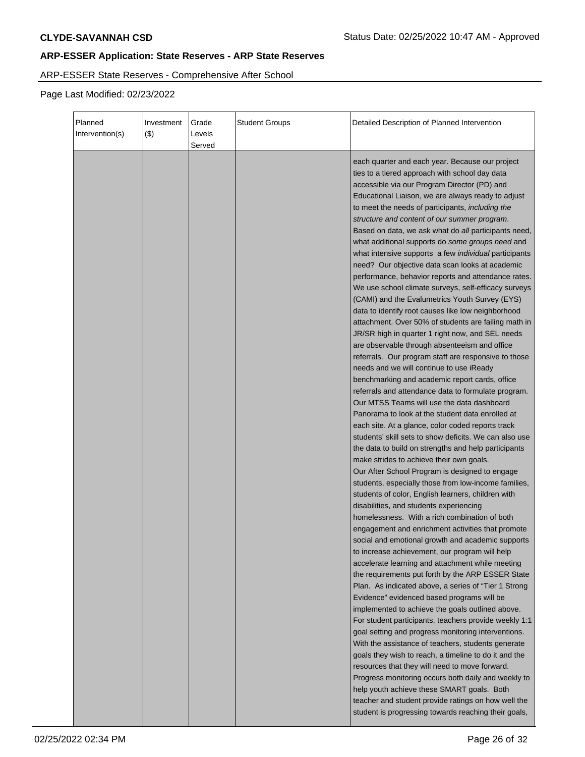# ARP-ESSER State Reserves - Comprehensive After School

| Planned<br>Intervention(s) | Investment<br>$($ \$) | Grade<br>Levels<br>Served | <b>Student Groups</b> | Detailed Description of Planned Intervention                                                                                                                                                                                                                                                                                                                                                                                                                                                                                                                                                                                                                                                                                                                                                                                                                                                                                                                                                                                                                                                                                                                                                                                                                                                                                                                                                                                                                                                                                                                                                                                                                                                                                                                                                                                                                                                                                                                                                                                                                                                                                                                                                                         |
|----------------------------|-----------------------|---------------------------|-----------------------|----------------------------------------------------------------------------------------------------------------------------------------------------------------------------------------------------------------------------------------------------------------------------------------------------------------------------------------------------------------------------------------------------------------------------------------------------------------------------------------------------------------------------------------------------------------------------------------------------------------------------------------------------------------------------------------------------------------------------------------------------------------------------------------------------------------------------------------------------------------------------------------------------------------------------------------------------------------------------------------------------------------------------------------------------------------------------------------------------------------------------------------------------------------------------------------------------------------------------------------------------------------------------------------------------------------------------------------------------------------------------------------------------------------------------------------------------------------------------------------------------------------------------------------------------------------------------------------------------------------------------------------------------------------------------------------------------------------------------------------------------------------------------------------------------------------------------------------------------------------------------------------------------------------------------------------------------------------------------------------------------------------------------------------------------------------------------------------------------------------------------------------------------------------------------------------------------------------------|
|                            |                       |                           |                       | each quarter and each year. Because our project<br>ties to a tiered approach with school day data<br>accessible via our Program Director (PD) and<br>Educational Liaison, we are always ready to adjust<br>to meet the needs of participants, including the<br>structure and content of our summer program.<br>Based on data, we ask what do all participants need,<br>what additional supports do some groups need and<br>what intensive supports a few <i>individual</i> participants<br>need? Our objective data scan looks at academic<br>performance, behavior reports and attendance rates.<br>We use school climate surveys, self-efficacy surveys<br>(CAMI) and the Evalumetrics Youth Survey (EYS)<br>data to identify root causes like low neighborhood<br>attachment. Over 50% of students are failing math in<br>JR/SR high in quarter 1 right now, and SEL needs<br>are observable through absenteeism and office<br>referrals. Our program staff are responsive to those<br>needs and we will continue to use iReady<br>benchmarking and academic report cards, office<br>referrals and attendance data to formulate program.<br>Our MTSS Teams will use the data dashboard<br>Panorama to look at the student data enrolled at<br>each site. At a glance, color coded reports track<br>students' skill sets to show deficits. We can also use<br>the data to build on strengths and help participants<br>make strides to achieve their own goals.<br>Our After School Program is designed to engage<br>students, especially those from low-income families,<br>students of color, English learners, children with<br>disabilities, and students experiencing<br>homelessness. With a rich combination of both<br>engagement and enrichment activities that promote<br>social and emotional growth and academic supports<br>to increase achievement, our program will help<br>accelerate learning and attachment while meeting<br>the requirements put forth by the ARP ESSER State<br>Plan. As indicated above, a series of "Tier 1 Strong<br>Evidence" evidenced based programs will be<br>implemented to achieve the goals outlined above.<br>For student participants, teachers provide weekly 1:1 |
|                            |                       |                           |                       | goal setting and progress monitoring interventions.<br>With the assistance of teachers, students generate<br>goals they wish to reach, a timeline to do it and the<br>resources that they will need to move forward.<br>Progress monitoring occurs both daily and weekly to<br>help youth achieve these SMART goals. Both<br>teacher and student provide ratings on how well the<br>student is progressing towards reaching their goals,                                                                                                                                                                                                                                                                                                                                                                                                                                                                                                                                                                                                                                                                                                                                                                                                                                                                                                                                                                                                                                                                                                                                                                                                                                                                                                                                                                                                                                                                                                                                                                                                                                                                                                                                                                             |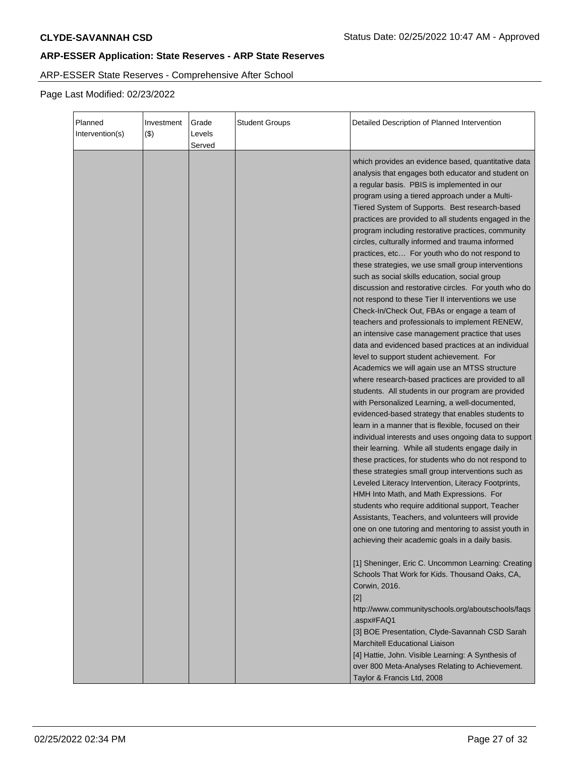# ARP-ESSER State Reserves - Comprehensive After School

| Planned<br>Intervention(s) | Investment<br>( \$) | Grade<br>Levels<br>Served | <b>Student Groups</b> | Detailed Description of Planned Intervention                                                                                                                                                                                                                                                                                                                                                                                                                                                                                                                                                                                                                                                                                                                                                                                                                                                                                                                                                                                                                                                                                                                                                                                                                                                                                                                                                                                                                                                                                                                                                                                                                                                                                                                                                                                                                                                                                                                            |
|----------------------------|---------------------|---------------------------|-----------------------|-------------------------------------------------------------------------------------------------------------------------------------------------------------------------------------------------------------------------------------------------------------------------------------------------------------------------------------------------------------------------------------------------------------------------------------------------------------------------------------------------------------------------------------------------------------------------------------------------------------------------------------------------------------------------------------------------------------------------------------------------------------------------------------------------------------------------------------------------------------------------------------------------------------------------------------------------------------------------------------------------------------------------------------------------------------------------------------------------------------------------------------------------------------------------------------------------------------------------------------------------------------------------------------------------------------------------------------------------------------------------------------------------------------------------------------------------------------------------------------------------------------------------------------------------------------------------------------------------------------------------------------------------------------------------------------------------------------------------------------------------------------------------------------------------------------------------------------------------------------------------------------------------------------------------------------------------------------------------|
|                            |                     |                           |                       | which provides an evidence based, quantitative data<br>analysis that engages both educator and student on<br>a regular basis. PBIS is implemented in our<br>program using a tiered approach under a Multi-<br>Tiered System of Supports. Best research-based<br>practices are provided to all students engaged in the<br>program including restorative practices, community<br>circles, culturally informed and trauma informed<br>practices, etc For youth who do not respond to<br>these strategies, we use small group interventions<br>such as social skills education, social group<br>discussion and restorative circles. For youth who do<br>not respond to these Tier II interventions we use<br>Check-In/Check Out, FBAs or engage a team of<br>teachers and professionals to implement RENEW,<br>an intensive case management practice that uses<br>data and evidenced based practices at an individual<br>level to support student achievement. For<br>Academics we will again use an MTSS structure<br>where research-based practices are provided to all<br>students. All students in our program are provided<br>with Personalized Learning, a well-documented,<br>evidenced-based strategy that enables students to<br>learn in a manner that is flexible, focused on their<br>individual interests and uses ongoing data to support<br>their learning. While all students engage daily in<br>these practices, for students who do not respond to<br>these strategies small group interventions such as<br>Leveled Literacy Intervention, Literacy Footprints,<br>HMH Into Math, and Math Expressions. For<br>students who require additional support, Teacher<br>Assistants, Teachers, and volunteers will provide<br>one on one tutoring and mentoring to assist youth in<br>achieving their academic goals in a daily basis.<br>[1] Sheninger, Eric C. Uncommon Learning: Creating<br>Schools That Work for Kids. Thousand Oaks, CA,<br>Corwin, 2016. |
|                            |                     |                           |                       | $[2]$<br>http://www.communityschools.org/aboutschools/faqs<br>.aspx#FAQ1<br>[3] BOE Presentation, Clyde-Savannah CSD Sarah<br><b>Marchitell Educational Liaison</b><br>[4] Hattie, John. Visible Learning: A Synthesis of<br>over 800 Meta-Analyses Relating to Achievement.<br>Taylor & Francis Ltd, 2008                                                                                                                                                                                                                                                                                                                                                                                                                                                                                                                                                                                                                                                                                                                                                                                                                                                                                                                                                                                                                                                                                                                                                                                                                                                                                                                                                                                                                                                                                                                                                                                                                                                              |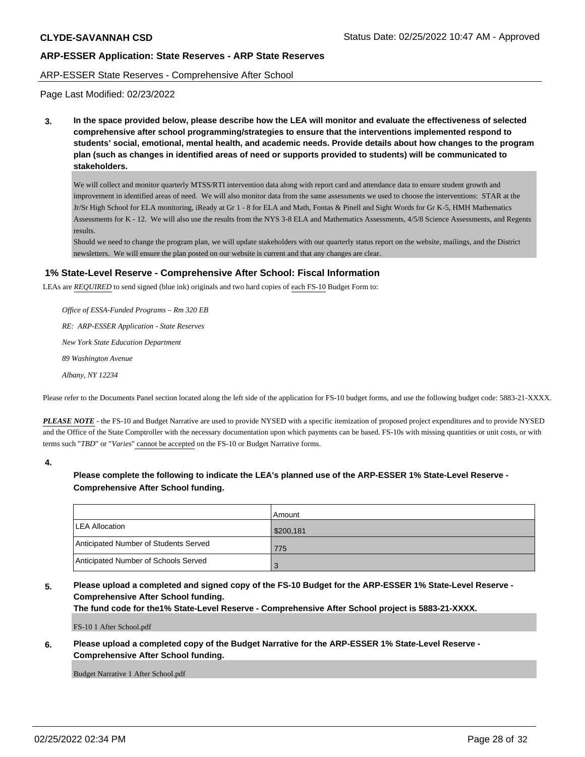#### ARP-ESSER State Reserves - Comprehensive After School

Page Last Modified: 02/23/2022

**3. In the space provided below, please describe how the LEA will monitor and evaluate the effectiveness of selected comprehensive after school programming/strategies to ensure that the interventions implemented respond to students' social, emotional, mental health, and academic needs. Provide details about how changes to the program plan (such as changes in identified areas of need or supports provided to students) will be communicated to stakeholders.**

We will collect and monitor quarterly MTSS/RTI intervention data along with report card and attendance data to ensure student growth and improvement in identified areas of need. We will also monitor data from the same assessments we used to choose the interventions: STAR at the Jr/Sr High School for ELA monitoring, iReady at Gr 1 - 8 for ELA and Math, Fontas & Pinell and Sight Words for Gr K-5, HMH Mathematics Assessments for K - 12. We will also use the results from the NYS 3-8 ELA and Mathematics Assessments, 4/5/8 Science Assessments, and Regents results.

Should we need to change the program plan, we will update stakeholders with our quarterly status report on the website, mailings, and the District newsletters. We will ensure the plan posted on our website is current and that any changes are clear.

### **1% State-Level Reserve - Comprehensive After School: Fiscal Information**

LEAs are *REQUIRED* to send signed (blue ink) originals and two hard copies of each FS-10 Budget Form to:

 *Office of ESSA-Funded Programs – Rm 320 EB RE: ARP-ESSER Application - State Reserves New York State Education Department 89 Washington Avenue Albany, NY 12234*

Please refer to the Documents Panel section located along the left side of the application for FS-10 budget forms, and use the following budget code: 5883-21-XXXX.

*PLEASE NOTE* - the FS-10 and Budget Narrative are used to provide NYSED with a specific itemization of proposed project expenditures and to provide NYSED and the Office of the State Comptroller with the necessary documentation upon which payments can be based. FS-10s with missing quantities or unit costs, or with terms such "*TBD*" or "*Varies*" cannot be accepted on the FS-10 or Budget Narrative forms.

**4.**

# **Please complete the following to indicate the LEA's planned use of the ARP-ESSER 1% State-Level Reserve - Comprehensive After School funding.**

|                                       | Amount    |
|---------------------------------------|-----------|
| <b>ILEA Allocation</b>                | \$200,181 |
| Anticipated Number of Students Served | 775       |
| Anticipated Number of Schools Served  |           |

# **5. Please upload a completed and signed copy of the FS-10 Budget for the ARP-ESSER 1% State-Level Reserve - Comprehensive After School funding.**

**The fund code for the1% State-Level Reserve - Comprehensive After School project is 5883-21-XXXX.**

FS-10 1 After School.pdf

### **6. Please upload a completed copy of the Budget Narrative for the ARP-ESSER 1% State-Level Reserve - Comprehensive After School funding.**

Budget Narrative 1 After School.pdf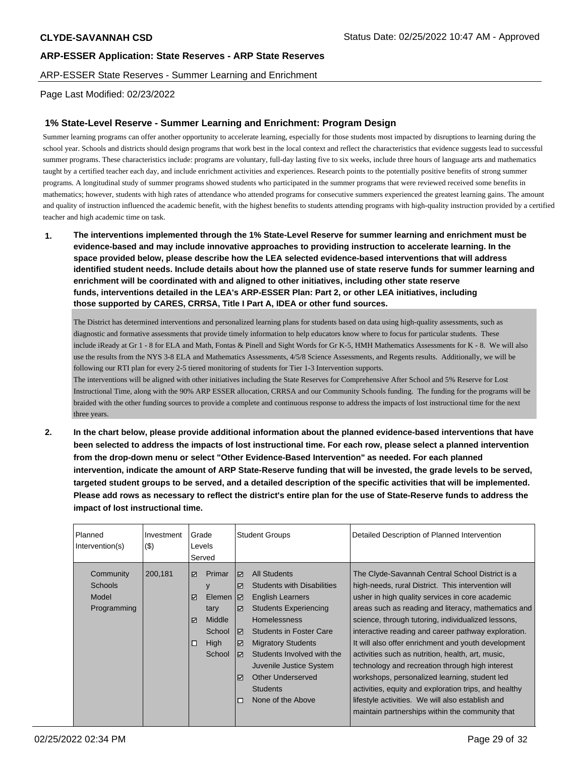ARP-ESSER State Reserves - Summer Learning and Enrichment

Page Last Modified: 02/23/2022

### **1% State-Level Reserve - Summer Learning and Enrichment: Program Design**

Summer learning programs can offer another opportunity to accelerate learning, especially for those students most impacted by disruptions to learning during the school year. Schools and districts should design programs that work best in the local context and reflect the characteristics that evidence suggests lead to successful summer programs. These characteristics include: programs are voluntary, full-day lasting five to six weeks, include three hours of language arts and mathematics taught by a certified teacher each day, and include enrichment activities and experiences. Research points to the potentially positive benefits of strong summer programs. A longitudinal study of summer programs showed students who participated in the summer programs that were reviewed received some benefits in mathematics; however, students with high rates of attendance who attended programs for consecutive summers experienced the greatest learning gains. The amount and quality of instruction influenced the academic benefit, with the highest benefits to students attending programs with high-quality instruction provided by a certified teacher and high academic time on task.

**1. The interventions implemented through the 1% State-Level Reserve for summer learning and enrichment must be evidence-based and may include innovative approaches to providing instruction to accelerate learning. In the space provided below, please describe how the LEA selected evidence-based interventions that will address identified student needs. Include details about how the planned use of state reserve funds for summer learning and enrichment will be coordinated with and aligned to other initiatives, including other state reserve funds, interventions detailed in the LEA's ARP-ESSER Plan: Part 2, or other LEA initiatives, including those supported by CARES, CRRSA, Title I Part A, IDEA or other fund sources.**

The District has determined interventions and personalized learning plans for students based on data using high-quality assessments, such as diagnostic and formative assessments that provide timely information to help educators know where to focus for particular students. These include iReady at Gr 1 - 8 for ELA and Math, Fontas & Pinell and Sight Words for Gr K-5, HMH Mathematics Assessments for K - 8. We will also use the results from the NYS 3-8 ELA and Mathematics Assessments, 4/5/8 Science Assessments, and Regents results. Additionally, we will be following our RTI plan for every 2-5 tiered monitoring of students for Tier 1-3 Intervention supports.

The interventions will be aligned with other initiatives including the State Reserves for Comprehensive After School and 5% Reserve for Lost Instructional Time, along with the 90% ARP ESSER allocation, CRRSA and our Community Schools funding. The funding for the programs will be braided with the other funding sources to provide a complete and continuous response to address the impacts of lost instructional time for the next three years.

**2. In the chart below, please provide additional information about the planned evidence-based interventions that have been selected to address the impacts of lost instructional time. For each row, please select a planned intervention from the drop-down menu or select "Other Evidence-Based Intervention" as needed. For each planned intervention, indicate the amount of ARP State-Reserve funding that will be invested, the grade levels to be served, targeted student groups to be served, and a detailed description of the specific activities that will be implemented. Please add rows as necessary to reflect the district's entire plan for the use of State-Reserve funds to address the impact of lost instructional time.**

| Planned<br>Intervention(s)                          | Investment<br>(3) | Grade<br>Levels<br>Served      |                                                                     |                                                                                                                                                       |                                                                                                                                                                                                                                                                                                                                 |                                                                                                                                                                                                                                                                                                                                                                                                                                                                                                                                                                                                                                                                                                              |  |  | <b>Student Groups</b> | Detailed Description of Planned Intervention |
|-----------------------------------------------------|-------------------|--------------------------------|---------------------------------------------------------------------|-------------------------------------------------------------------------------------------------------------------------------------------------------|---------------------------------------------------------------------------------------------------------------------------------------------------------------------------------------------------------------------------------------------------------------------------------------------------------------------------------|--------------------------------------------------------------------------------------------------------------------------------------------------------------------------------------------------------------------------------------------------------------------------------------------------------------------------------------------------------------------------------------------------------------------------------------------------------------------------------------------------------------------------------------------------------------------------------------------------------------------------------------------------------------------------------------------------------------|--|--|-----------------------|----------------------------------------------|
| Community<br><b>Schools</b><br>Model<br>Programming | 200,181           | ☑<br>☑<br>$\triangledown$<br>□ | Primar<br>у<br>Elemen<br>tary<br>Middle<br>School<br>High<br>School | $\triangledown$<br>$\overline{\mathbf{v}}$<br>I⊽<br>$\overline{\mathbf{v}}$<br>☑<br>$\overline{\mathbf{v}}$<br>罓<br>$\overline{\mathbf{v}}$<br>$\Box$ | <b>All Students</b><br><b>Students with Disabilities</b><br><b>English Learners</b><br><b>Students Experiencing</b><br><b>Homelessness</b><br><b>Students in Foster Care</b><br><b>Migratory Students</b><br>Students Involved with the<br>Juvenile Justice System<br>Other Underserved<br><b>Students</b><br>None of the Above | The Clyde-Savannah Central School District is a<br>high-needs, rural District. This intervention will<br>usher in high quality services in core academic<br>areas such as reading and literacy, mathematics and<br>science, through tutoring, individualized lessons,<br>interactive reading and career pathway exploration.<br>It will also offer enrichment and youth development<br>activities such as nutrition, health, art, music,<br>technology and recreation through high interest<br>workshops, personalized learning, student led<br>activities, equity and exploration trips, and healthy<br>lifestyle activities. We will also establish and<br>maintain partnerships within the community that |  |  |                       |                                              |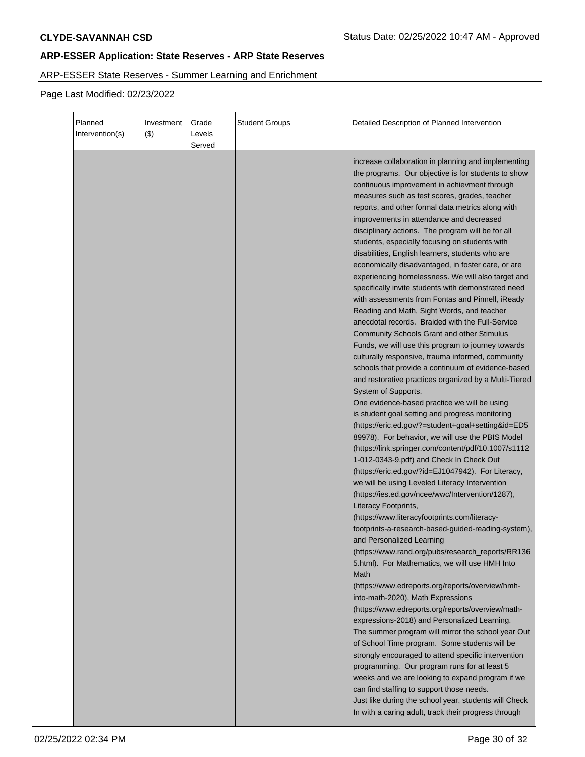# ARP-ESSER State Reserves - Summer Learning and Enrichment

| Planned<br>Intervention(s) | Investment<br>$($ \$) | Grade<br>Levels<br>Served | <b>Student Groups</b> | Detailed Description of Planned Intervention                                                                                                                                                                                                                                                                                                                                                                                                                                                                                                                                                                                                                                                                                                                                                                                                                                                                                                                                                                                                                                                                                                                                                                                                                                                                                                                                                                                                                                                                                                                                                                                                                                                                                                                                                                                                                                                                                                                                                                                                                  |
|----------------------------|-----------------------|---------------------------|-----------------------|---------------------------------------------------------------------------------------------------------------------------------------------------------------------------------------------------------------------------------------------------------------------------------------------------------------------------------------------------------------------------------------------------------------------------------------------------------------------------------------------------------------------------------------------------------------------------------------------------------------------------------------------------------------------------------------------------------------------------------------------------------------------------------------------------------------------------------------------------------------------------------------------------------------------------------------------------------------------------------------------------------------------------------------------------------------------------------------------------------------------------------------------------------------------------------------------------------------------------------------------------------------------------------------------------------------------------------------------------------------------------------------------------------------------------------------------------------------------------------------------------------------------------------------------------------------------------------------------------------------------------------------------------------------------------------------------------------------------------------------------------------------------------------------------------------------------------------------------------------------------------------------------------------------------------------------------------------------------------------------------------------------------------------------------------------------|
|                            |                       |                           |                       | increase collaboration in planning and implementing<br>the programs. Our objective is for students to show<br>continuous improvement in achievment through<br>measures such as test scores, grades, teacher<br>reports, and other formal data metrics along with<br>improvements in attendance and decreased<br>disciplinary actions. The program will be for all<br>students, especially focusing on students with<br>disabilities, English learners, students who are<br>economically disadvantaged, in foster care, or are<br>experiencing homelessness. We will also target and<br>specifically invite students with demonstrated need<br>with assessments from Fontas and Pinnell, iReady<br>Reading and Math, Sight Words, and teacher<br>anecdotal records. Braided with the Full-Service<br><b>Community Schools Grant and other Stimulus</b><br>Funds, we will use this program to journey towards<br>culturally responsive, trauma informed, community<br>schools that provide a continuum of evidence-based<br>and restorative practices organized by a Multi-Tiered<br>System of Supports.<br>One evidence-based practice we will be using<br>is student goal setting and progress monitoring<br>(https://eric.ed.gov/?=student+goal+setting&id=ED5<br>89978). For behavior, we will use the PBIS Model<br>(https://link.springer.com/content/pdf/10.1007/s1112<br>1-012-0343-9.pdf) and Check In Check Out<br>(https://eric.ed.gov/?id=EJ1047942). For Literacy,<br>we will be using Leveled Literacy Intervention<br>(https://ies.ed.gov/ncee/wwc/Intervention/1287),<br>Literacy Footprints,<br>(https://www.literacyfootprints.com/literacy-<br>footprints-a-research-based-guided-reading-system),<br>and Personalized Learning<br>(https://www.rand.org/pubs/research_reports/RR136<br>5.html). For Mathematics, we will use HMH Into<br>Math<br>(https://www.edreports.org/reports/overview/hmh-<br>into-math-2020), Math Expressions<br>(https://www.edreports.org/reports/overview/math-<br>expressions-2018) and Personalized Learning. |
|                            |                       |                           |                       | The summer program will mirror the school year Out<br>of School Time program. Some students will be<br>strongly encouraged to attend specific intervention<br>programming. Our program runs for at least 5<br>weeks and we are looking to expand program if we<br>can find staffing to support those needs.<br>Just like during the school year, students will Check<br>In with a caring adult, track their progress through                                                                                                                                                                                                                                                                                                                                                                                                                                                                                                                                                                                                                                                                                                                                                                                                                                                                                                                                                                                                                                                                                                                                                                                                                                                                                                                                                                                                                                                                                                                                                                                                                                  |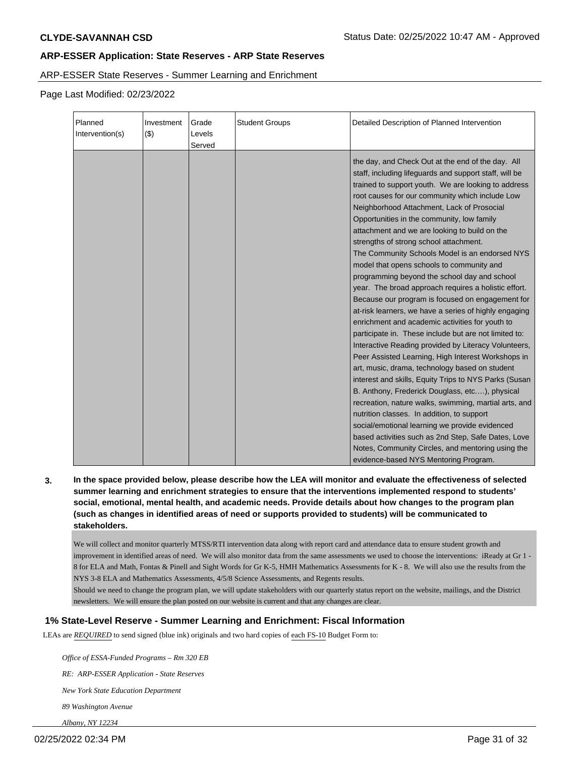ARP-ESSER State Reserves - Summer Learning and Enrichment

Page Last Modified: 02/23/2022

| Planned<br>Intervention(s) | Investment<br>$(\$)$ | Grade<br>Levels<br>Served | <b>Student Groups</b> | Detailed Description of Planned Intervention                                                                                                                                                                                                                                                                                                                                                                                                                                                                                                                                                                                                                                                                                                                                                                                                                                                                                                                                                                                                                                                                                                                                                                                                                                                                                                                                                                                          |
|----------------------------|----------------------|---------------------------|-----------------------|---------------------------------------------------------------------------------------------------------------------------------------------------------------------------------------------------------------------------------------------------------------------------------------------------------------------------------------------------------------------------------------------------------------------------------------------------------------------------------------------------------------------------------------------------------------------------------------------------------------------------------------------------------------------------------------------------------------------------------------------------------------------------------------------------------------------------------------------------------------------------------------------------------------------------------------------------------------------------------------------------------------------------------------------------------------------------------------------------------------------------------------------------------------------------------------------------------------------------------------------------------------------------------------------------------------------------------------------------------------------------------------------------------------------------------------|
|                            |                      |                           |                       | the day, and Check Out at the end of the day. All<br>staff, including lifeguards and support staff, will be<br>trained to support youth. We are looking to address<br>root causes for our community which include Low<br>Neighborhood Attachment, Lack of Prosocial<br>Opportunities in the community, low family<br>attachment and we are looking to build on the<br>strengths of strong school attachment.<br>The Community Schools Model is an endorsed NYS<br>model that opens schools to community and<br>programming beyond the school day and school<br>year. The broad approach requires a holistic effort.<br>Because our program is focused on engagement for<br>at-risk learners, we have a series of highly engaging<br>enrichment and academic activities for youth to<br>participate in. These include but are not limited to:<br>Interactive Reading provided by Literacy Volunteers,<br>Peer Assisted Learning, High Interest Workshops in<br>art, music, drama, technology based on student<br>interest and skills, Equity Trips to NYS Parks (Susan<br>B. Anthony, Frederick Douglass, etc), physical<br>recreation, nature walks, swimming, martial arts, and<br>nutrition classes. In addition, to support<br>social/emotional learning we provide evidenced<br>based activities such as 2nd Step, Safe Dates, Love<br>Notes, Community Circles, and mentoring using the<br>evidence-based NYS Mentoring Program. |

**3. In the space provided below, please describe how the LEA will monitor and evaluate the effectiveness of selected summer learning and enrichment strategies to ensure that the interventions implemented respond to students' social, emotional, mental health, and academic needs. Provide details about how changes to the program plan (such as changes in identified areas of need or supports provided to students) will be communicated to stakeholders.**

We will collect and monitor quarterly MTSS/RTI intervention data along with report card and attendance data to ensure student growth and improvement in identified areas of need. We will also monitor data from the same assessments we used to choose the interventions: iReady at Gr 1 - 8 for ELA and Math, Fontas & Pinell and Sight Words for Gr K-5, HMH Mathematics Assessments for K - 8. We will also use the results from the NYS 3-8 ELA and Mathematics Assessments, 4/5/8 Science Assessments, and Regents results.

Should we need to change the program plan, we will update stakeholders with our quarterly status report on the website, mailings, and the District newsletters. We will ensure the plan posted on our website is current and that any changes are clear.

# **1% State-Level Reserve - Summer Learning and Enrichment: Fiscal Information**

LEAs are *REQUIRED* to send signed (blue ink) originals and two hard copies of each FS-10 Budget Form to:

 *Office of ESSA-Funded Programs – Rm 320 EB*

 *RE: ARP-ESSER Application - State Reserves*

 *New York State Education Department*

 *89 Washington Avenue*

 *Albany, NY 12234*